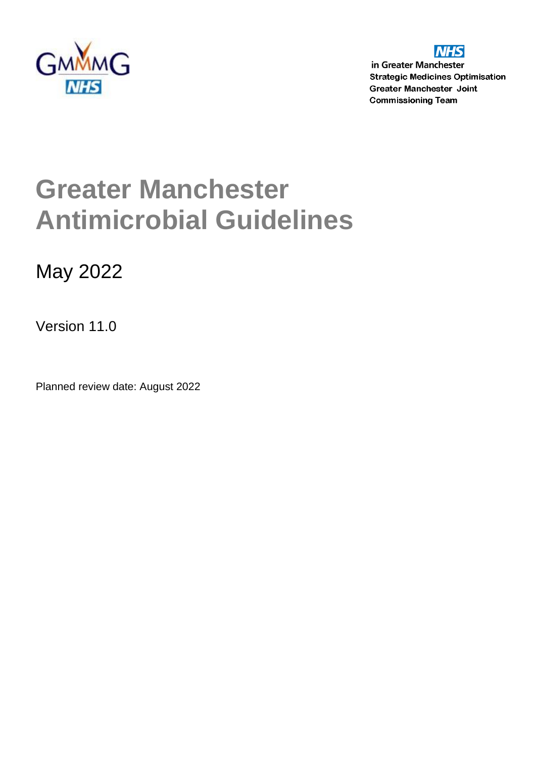



in Greater Manchester **Strategic Medicines Optimisation Greater Manchester Joint Commissioning Team** 

# **Greater Manchester Antimicrobial Guidelines**

May 2022

Version 11.0

Planned review date: August 2022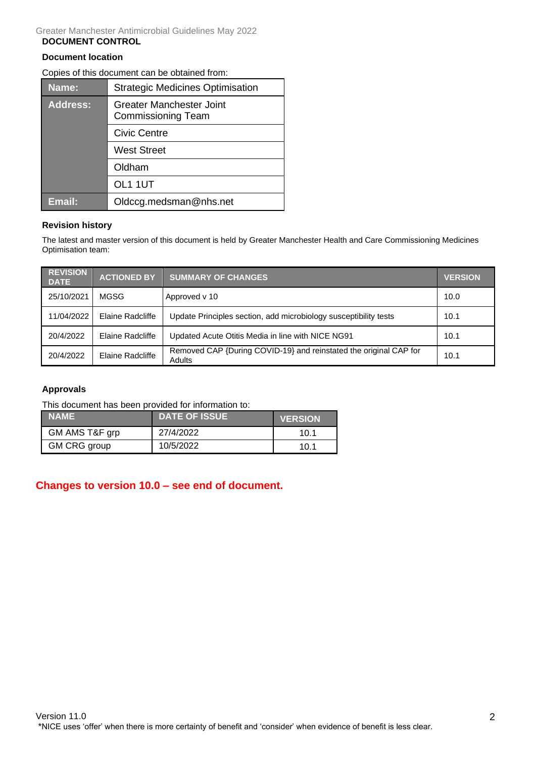#### Greater Manchester Antimicrobial Guidelines May 2022 **DOCUMENT CONTROL**

### **Document location**

Copies of this document can be obtained from:

| Name:           | <b>Strategic Medicines Optimisation</b>                      |  |  |
|-----------------|--------------------------------------------------------------|--|--|
| <b>Address:</b> | <b>Greater Manchester Joint</b><br><b>Commissioning Team</b> |  |  |
|                 | Civic Centre                                                 |  |  |
|                 | <b>West Street</b>                                           |  |  |
|                 | Oldham                                                       |  |  |
|                 | OL1 1UT                                                      |  |  |
| <b>Email:</b>   | Oldccg.medsman@nhs.net                                       |  |  |

### **Revision history**

The latest and master version of this document is held by Greater Manchester Health and Care Commissioning Medicines Optimisation team:

| <b>REVISION</b><br><b>DATE</b> | <b>ACTIONED BY</b> | <b>SUMMARY OF CHANGES</b>                                                          | <b>VERSION</b> |
|--------------------------------|--------------------|------------------------------------------------------------------------------------|----------------|
| 25/10/2021                     | MGSG               | Approved v 10                                                                      | 10.0           |
| 11/04/2022                     | Elaine Radcliffe   | Update Principles section, add microbiology susceptibility tests                   | 10.1           |
| 20/4/2022                      | Elaine Radcliffe   | Updated Acute Otitis Media in line with NICE NG91                                  | 10.1           |
| 20/4/2022                      | Elaine Radcliffe   | Removed CAP {During COVID-19} and reinstated the original CAP for<br><b>Adults</b> | 10.1           |

### **Approvals**

This document has been provided for information to:

| <b>NAME</b>    | <b>DATE OF ISSUE</b> | <b>VERSION</b> |
|----------------|----------------------|----------------|
| GM AMS T&F grp | 27/4/2022            | 10.1           |
| GM CRG group   | 10/5/2022            | 10.1           |

### **Changes to version 10.0 – see end of document.**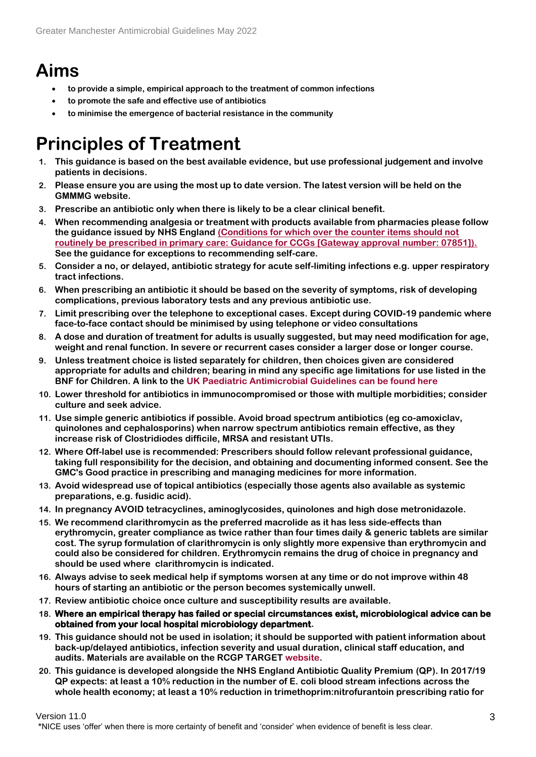## **Aims**

- **to provide a simple, empirical approach to the treatment of common infections**
- **to promote the safe and effective use of antibiotics**
- **to minimise the emergence of bacterial resistance in the community**

## **Principles of Treatment**

- **1. This guidance is based on the best available evidence, but use professional judgement and involve patients in decisions.**
- **2. Please ensure you are using the most up to date version. The latest version will be held on the GMMMG website.**
- **3. Prescribe an antibiotic only when there is likely to be a clear clinical benefit.**
- **4. When recommending analgesia or treatment with products available from pharmacies please follow the guidance issued by NHS England [\(Conditions for which over the counter items should not](https://www.england.nhs.uk/wp-content/uploads/2018/03/otc-guidance-for-ccgs.pdf)  [routinely be prescribed in primary care: Guidance for CCGs \[Gateway approval number: 07851\]\).](https://www.england.nhs.uk/wp-content/uploads/2018/03/otc-guidance-for-ccgs.pdf) See the guidance for exceptions to recommending self-care.**
- **5. Consider a no, or delayed, antibiotic strategy for acute self-limiting infections e.g. upper respiratory tract infections.**
- **6. When prescribing an antibiotic it should be based on the severity of symptoms, risk of developing complications, previous laboratory tests and any previous antibiotic use.**
- **7. Limit prescribing over the telephone to exceptional cases. Except during COVID-19 pandemic where face-to-face contact should be minimised by using telephone or video consultations**
- **8. A dose and duration of treatment for adults is usually suggested, but may need modification for age, weight and renal function. In severe or recurrent cases consider a larger dose or longer course.**
- **9. Unless treatment choice is listed separately for children, then choices given are considered appropriate for adults and children; bearing in mind any specific age limitations for use listed in the BNF for Children. A link to the [UK Paediatric Antimicrobial Guidelines can be found here](https://uk-pas.co.uk/#resources)**
- **10. Lower threshold for antibiotics in immunocompromised or those with multiple morbidities; consider culture and seek advice.**
- **11. Use simple generic antibiotics if possible. Avoid broad spectrum antibiotics (eg co-amoxiclav, quinolones and cephalosporins) when narrow spectrum antibiotics remain effective, as they increase risk of Clostridiodes difficile, MRSA and resistant UTIs.**
- **12. Where Off-label use is recommended: Prescribers should follow relevant professional guidance, taking full responsibility for the decision, and obtaining and documenting informed consent. See the GMC's [Good practice in prescribing and managing medicines](https://www.gmc-uk.org/ethical-guidance/ethical-guidance-for-doctors/prescribing-and-managing-medicines-and-devices) for more information.**
- **13. Avoid widespread use of topical antibiotics (especially those agents also available as systemic preparations, e.g. fusidic acid).**
- **14. In pregnancy AVOID tetracyclines, aminoglycosides, quinolones and high dose metronidazole.**
- **15. We recommend clarithromycin as the preferred macrolide as it has less side-effects than erythromycin, greater compliance as twice rather than four times daily & generic tablets are similar cost. The syrup formulation of clarithromycin is only slightly more expensive than erythromycin and could also be considered for children. Erythromycin remains the drug of choice in pregnancy and should be used where clarithromycin is indicated.**
- **16. Always advise to seek medical help if symptoms worsen at any time or do not improve within 48 hours of starting an antibiotic or the person becomes systemically unwell.**
- **17. Review antibiotic choice once culture and susceptibility results are available.**
- **18. Where an empirical therapy has failed or special circumstances exist, microbiological advice can be obtained from your local hospital microbiology department.**
- **19. This guidance should not be used in isolation; it should be supported with patient information about back-up/delayed antibiotics, infection severity and usual duration, clinical staff education, and audits. Materials are available on the RCGP TARGET [website.](https://www.rcgp.org.uk/TARGETantibiotics)**
- **20. This guidance is developed alongside the NHS England Antibiotic Quality Premium (QP). In 2017/19 QP expects: at least a 10% reduction in the number of E. coli blood stream infections across the whole health economy; at least a 10% reduction in trimethoprim:nitrofurantoin prescribing ratio for**

Version 11.0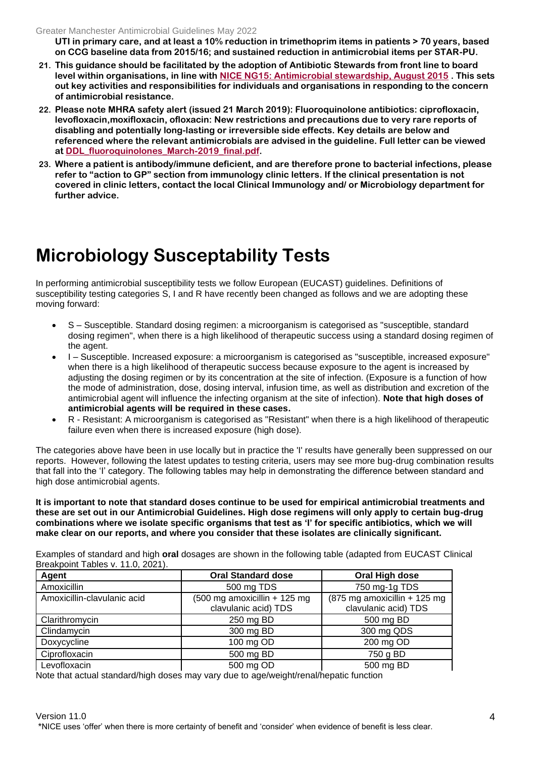**UTI in primary care, and at least a 10% reduction in trimethoprim items in patients > 70 years, based on CCG baseline data from 2015/16; and sustained reduction in antimicrobial items per STAR-PU.** 

- **21. This guidance should be facilitated by the adoption of Antibiotic Stewards from front line to board level within organisations, in line with [NICE NG15: Antimicrobial stewardship, August 2015](https://www.nice.org.uk/guidance/ng15) . This sets out key activities and responsibilities for individuals and organisations in responding to the concern of antimicrobial resistance.**
- **22. Please note MHRA safety alert (issued 21 March 2019): Fluoroquinolone antibiotics: ciprofloxacin, levofloxacin,moxifloxacin, ofloxacin: New restrictions and precautions due to very rare reports of disabling and potentially long-lasting or irreversible side effects. Key details are below and referenced where the relevant antimicrobials are advised in the guideline. Full letter can be viewed at [DDL\\_fluoroquinolones\\_March-2019\\_final.pdf.](https://www.cas.mhra.gov.uk/ViewAndAcknowledgment/viewAttachment.aspx?Attachment_id=103183)**
- **23. Where a patient is antibody/immune deficient, and are therefore prone to bacterial infections, please refer to "action to GP" section from immunology clinic letters. If the clinical presentation is not covered in clinic letters, contact the local Clinical Immunology and/ or Microbiology department for further advice.**

## **Microbiology Susceptability Tests**

In performing antimicrobial susceptibility tests we follow European (EUCAST) guidelines. Definitions of susceptibility testing categories S, I and R have recently been changed as follows and we are adopting these moving forward:

- S Susceptible. Standard dosing regimen: a microorganism is categorised as "susceptible, standard dosing regimen", when there is a high likelihood of therapeutic success using a standard dosing regimen of the agent.
- I Susceptible. Increased exposure: a microorganism is categorised as "susceptible, increased exposure" when there is a high likelihood of therapeutic success because exposure to the agent is increased by adjusting the dosing regimen or by its concentration at the site of infection. (Exposure is a function of how the mode of administration, dose, dosing interval, infusion time, as well as distribution and excretion of the antimicrobial agent will influence the infecting organism at the site of infection). **Note that high doses of antimicrobial agents will be required in these cases.**
- R Resistant: A microorganism is categorised as "Resistant" when there is a high likelihood of therapeutic failure even when there is increased exposure (high dose).

The categories above have been in use locally but in practice the 'I' results have generally been suppressed on our reports. However, following the latest updates to testing criteria, users may see more bug-drug combination results that fall into the 'I' category. The following tables may help in demonstrating the difference between standard and high dose antimicrobial agents.

**It is important to note that standard doses continue to be used for empirical antimicrobial treatments and these are set out in our Antimicrobial Guidelines. High dose regimens will only apply to certain bug-drug combinations where we isolate specific organisms that test as 'I' for specific antibiotics, which we will make clear on our reports, and where you consider that these isolates are clinically significant.**

Examples of standard and high **oral** dosages are shown in the following table (adapted from EUCAST Clinical Breakpoint Tables v. 11.0, 2021).

| Agent                       | <b>Oral Standard dose</b>                                      | Oral High dose                                                          |
|-----------------------------|----------------------------------------------------------------|-------------------------------------------------------------------------|
| Amoxicillin                 | 500 mg TDS                                                     | 750 mg-1g TDS                                                           |
| Amoxicillin-clavulanic acid | $(500 \text{ mg}$ amoxicillin + 125 mg<br>clavulanic acid) TDS | $(875 \text{ mg amoxicillin} + 125 \text{ mg})$<br>clavulanic acid) TDS |
| Clarithromycin              | 250 mg BD                                                      | 500 mg BD                                                               |
| Clindamycin                 | 300 mg BD                                                      | 300 mg QDS                                                              |
| Doxycycline                 | 100 mg OD                                                      | 200 mg OD                                                               |
| Ciprofloxacin               | 500 mg BD                                                      | 750 g BD                                                                |
| Levofloxacin                | 500 mg OD                                                      | 500 mg BD                                                               |

Note that actual standard/high doses may vary due to age/weight/renal/hepatic function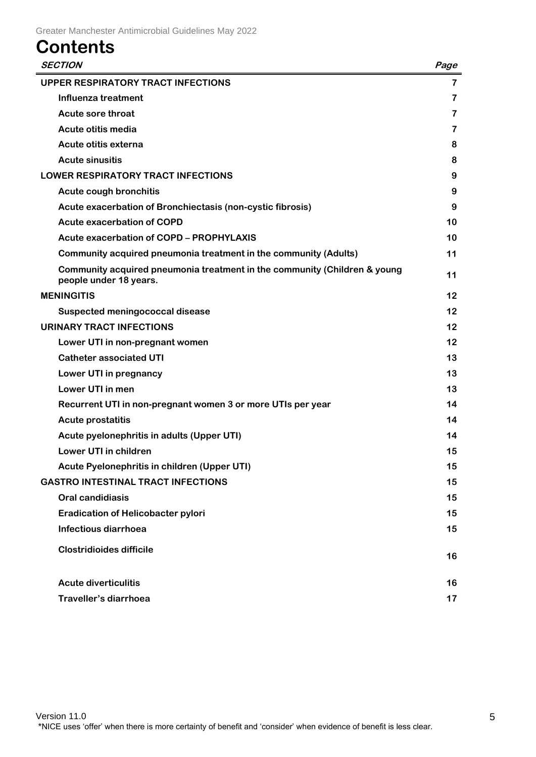## **Contents**

| <b>SECTION</b>                                                                                      | Page |
|-----------------------------------------------------------------------------------------------------|------|
| <b>UPPER RESPIRATORY TRACT INFECTIONS</b>                                                           | 7    |
| Influenza treatment                                                                                 | 7    |
| Acute sore throat                                                                                   | 7    |
| Acute otitis media                                                                                  | 7    |
| Acute otitis externa                                                                                | 8    |
| <b>Acute sinusitis</b>                                                                              | 8    |
| <b>LOWER RESPIRATORY TRACT INFECTIONS</b>                                                           | 9    |
| <b>Acute cough bronchitis</b>                                                                       | 9    |
| Acute exacerbation of Bronchiectasis (non-cystic fibrosis)                                          | 9    |
| <b>Acute exacerbation of COPD</b>                                                                   | 10   |
| <b>Acute exacerbation of COPD - PROPHYLAXIS</b>                                                     | 10   |
| Community acquired pneumonia treatment in the community (Adults)                                    | 11   |
| Community acquired pneumonia treatment in the community (Children & young<br>people under 18 years. | 11   |
| <b>MENINGITIS</b>                                                                                   | 12   |
| Suspected meningococcal disease                                                                     | 12   |
| <b>URINARY TRACT INFECTIONS</b>                                                                     | 12   |
| Lower UTI in non-pregnant women                                                                     | 12   |
| <b>Catheter associated UTI</b>                                                                      | 13   |
| Lower UTI in pregnancy                                                                              | 13   |
| Lower UTI in men                                                                                    | 13   |
| Recurrent UTI in non-pregnant women 3 or more UTIs per year                                         | 14   |
| <b>Acute prostatitis</b>                                                                            | 14   |
| Acute pyelonephritis in adults (Upper UTI)                                                          | 14   |
| Lower UTI in children                                                                               | 15   |
| Acute Pyelonephritis in children (Upper UTI)                                                        | 15   |
| <b>GASTRO INTESTINAL TRACT INFECTIONS</b>                                                           | 15   |
| <b>Oral candidiasis</b>                                                                             | 15   |
| <b>Eradication of Helicobacter pylori</b>                                                           | 15   |
| Infectious diarrhoea                                                                                | 15   |
| <b>Clostridioides difficile</b>                                                                     | 16   |
| <b>Acute diverticulitis</b>                                                                         | 16   |
| Traveller's diarrhoea                                                                               | 17   |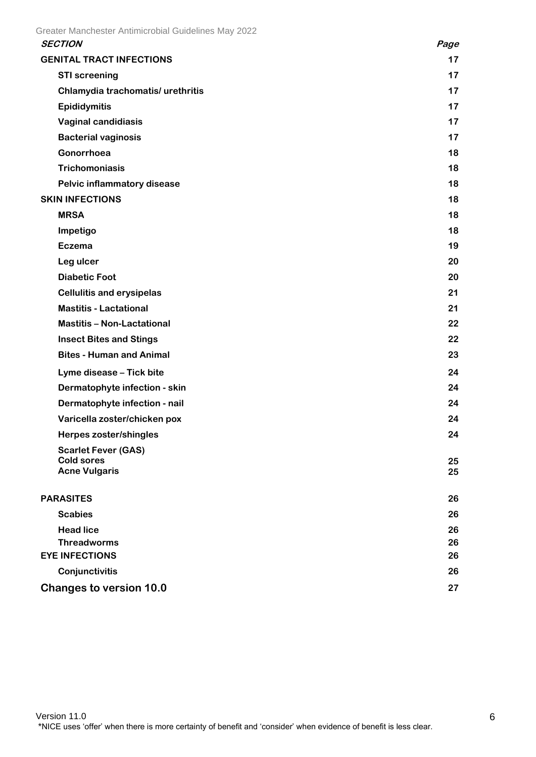| Page     |
|----------|
| 17       |
| 17       |
| 17       |
| 17       |
| 17       |
| 17       |
| 18       |
| 18       |
| 18       |
| 18       |
| 18       |
| 18       |
| 19       |
| 20       |
| 20       |
| 21       |
| 21       |
| 22       |
| 22       |
| 23       |
| 24       |
| 24       |
| 24       |
| 24       |
| 24       |
|          |
| 25<br>25 |
|          |
| 26       |
| 26       |
| 26       |
| 26       |
| 26       |
| 26       |
|          |

## <span id="page-5-0"></span>**Changes to version 10.0 27**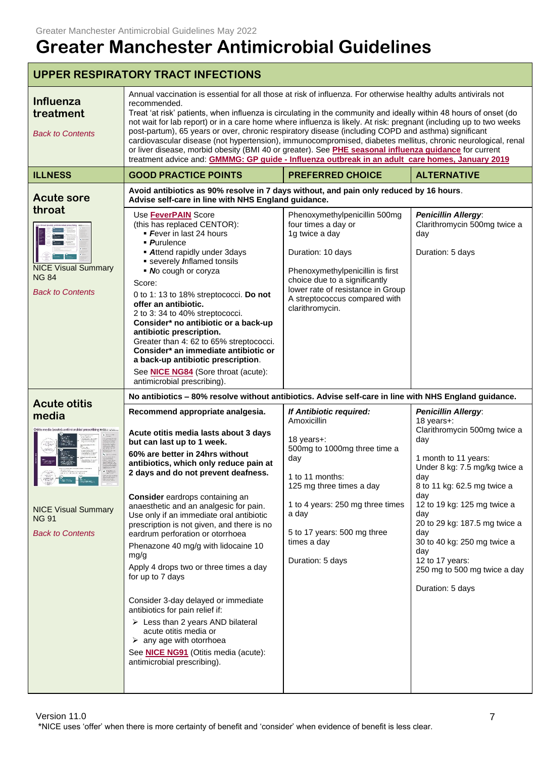<span id="page-6-2"></span><span id="page-6-1"></span><span id="page-6-0"></span>

|                                                                                                       | <b>UPPER RESPIRATORY TRACT INFECTIONS</b>                                                                                                                                                                                                                                                                                                                                                                                                                                                                                                                                                                                                                                                                                                                                                                                                  |                                                                                                                                                                                                                                                           |                                                                                                                                                                                                                                                                                                                                                                                  |  |
|-------------------------------------------------------------------------------------------------------|--------------------------------------------------------------------------------------------------------------------------------------------------------------------------------------------------------------------------------------------------------------------------------------------------------------------------------------------------------------------------------------------------------------------------------------------------------------------------------------------------------------------------------------------------------------------------------------------------------------------------------------------------------------------------------------------------------------------------------------------------------------------------------------------------------------------------------------------|-----------------------------------------------------------------------------------------------------------------------------------------------------------------------------------------------------------------------------------------------------------|----------------------------------------------------------------------------------------------------------------------------------------------------------------------------------------------------------------------------------------------------------------------------------------------------------------------------------------------------------------------------------|--|
| Influenza<br>treatment<br><b>Back to Contents</b>                                                     | Annual vaccination is essential for all those at risk of influenza. For otherwise healthy adults antivirals not<br>recommended.<br>Treat 'at risk' patients, when influenza is circulating in the community and ideally within 48 hours of onset (do<br>not wait for lab report) or in a care home where influenza is likely. At risk: pregnant (including up to two weeks<br>post-partum), 65 years or over, chronic respiratory disease (including COPD and asthma) significant<br>cardiovascular disease (not hypertension), immunocompromised, diabetes mellitus, chronic neurological, renal<br>or liver disease, morbid obesity (BMI 40 or greater). See PHE seasonal influenza guidance for current<br>treatment advice and: GMMMG: GP guide - Influenza outbreak in an adult care homes, January 2019                              |                                                                                                                                                                                                                                                           |                                                                                                                                                                                                                                                                                                                                                                                  |  |
| <b>ILLNESS</b>                                                                                        | <b>GOOD PRACTICE POINTS</b>                                                                                                                                                                                                                                                                                                                                                                                                                                                                                                                                                                                                                                                                                                                                                                                                                | <b>PREFERRED CHOICE</b>                                                                                                                                                                                                                                   | <b>ALTERNATIVE</b>                                                                                                                                                                                                                                                                                                                                                               |  |
| <b>Acute sore</b>                                                                                     | Avoid antibiotics as 90% resolve in 7 days without, and pain only reduced by 16 hours.<br>Advise self-care in line with NHS England guidance.                                                                                                                                                                                                                                                                                                                                                                                                                                                                                                                                                                                                                                                                                              |                                                                                                                                                                                                                                                           |                                                                                                                                                                                                                                                                                                                                                                                  |  |
| throat<br><b>NICE Visual Summary</b><br><b>NG 84</b><br><b>Back to Contents</b>                       | Use <b>FeverPAIN</b> Score<br>(this has replaced CENTOR):<br>• Fever in last 24 hours<br>• Purulence<br><b>Attend rapidly under 3days</b><br>severely Inflamed tonsils<br>• No cough or coryza<br>Score:<br>0 to 1: 13 to 18% streptococci. Do not<br>offer an antibiotic.<br>2 to 3:34 to 40% streptococci.<br>Consider* no antibiotic or a back-up<br>antibiotic prescription.<br>Greater than 4: 62 to 65% streptococci.<br>Consider* an immediate antibiotic or<br>a back-up antibiotic prescription.<br>See <b>NICE NG84</b> (Sore throat (acute):<br>antimicrobial prescribing).                                                                                                                                                                                                                                                     | Phenoxymethylpenicillin 500mg<br>four times a day or<br>1g twice a day<br>Duration: 10 days<br>Phenoxymethylpenicillin is first<br>choice due to a significantly<br>lower rate of resistance in Group<br>A streptococcus compared with<br>clarithromycin. | <b>Penicillin Allergy:</b><br>Clarithromycin 500mg twice a<br>day<br>Duration: 5 days                                                                                                                                                                                                                                                                                            |  |
|                                                                                                       | No antibiotics - 80% resolve without antibiotics. Advise self-care in line with NHS England guidance.                                                                                                                                                                                                                                                                                                                                                                                                                                                                                                                                                                                                                                                                                                                                      |                                                                                                                                                                                                                                                           |                                                                                                                                                                                                                                                                                                                                                                                  |  |
| <b>Acute otitis</b><br>media<br><b>NICE Visual Summary</b><br><b>NG 91</b><br><b>Back to Contents</b> | Recommend appropriate analgesia.<br>Acute otitis media lasts about 3 days<br>but can last up to 1 week.<br>60% are better in 24hrs without<br>antibiotics, which only reduce pain at<br>2 days and do not prevent deafness.<br><b>Consider</b> eardrops containing an<br>anaesthetic and an analgesic for pain.<br>Use only if an immediate oral antibiotic<br>prescription is not given, and there is no<br>eardrum perforation or otorrhoea<br>Phenazone 40 mg/g with lidocaine 10<br>mg/g<br>Apply 4 drops two or three times a day<br>for up to 7 days<br>Consider 3-day delayed or immediate<br>antibiotics for pain relief if:<br>$\triangleright$ Less than 2 years AND bilateral<br>acute otitis media or<br>$\triangleright$ any age with otorrhoea<br>See <b>NICE NG91</b> (Otitis media (acute):<br>antimicrobial prescribing). | If Antibiotic required:<br>Amoxicillin<br>18 years+:<br>500mg to 1000mg three time a<br>day<br>1 to 11 months:<br>125 mg three times a day<br>1 to 4 years: 250 mg three times<br>a day<br>5 to 17 years: 500 mg three<br>times a day<br>Duration: 5 days | <b>Penicillin Allergy:</b><br>18 years+:<br>Clarithromycin 500mg twice a<br>day<br>1 month to 11 years:<br>Under 8 kg: 7.5 mg/kg twice a<br>day<br>8 to 11 kg: 62.5 mg twice a<br>day<br>12 to 19 kg: 125 mg twice a<br>day<br>20 to 29 kg: 187.5 mg twice a<br>day<br>30 to 40 kg: 250 mg twice a<br>day<br>12 to 17 years:<br>250 mg to 500 mg twice a day<br>Duration: 5 days |  |

<span id="page-6-3"></span>Version 11.0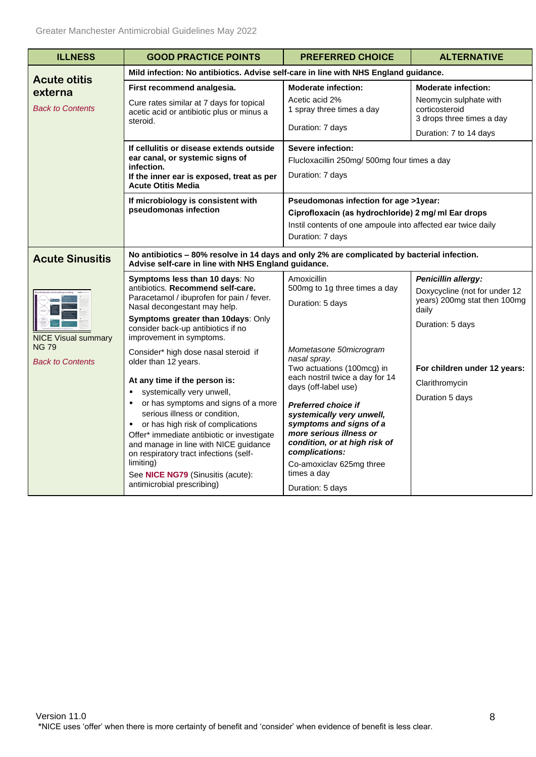<span id="page-7-1"></span><span id="page-7-0"></span>

| <b>ILLNESS</b>                                                        | <b>GOOD PRACTICE POINTS</b>                                                                                                                                                                                                                                                                                                                                                                                                                                        | <b>PREFERRED CHOICE</b>                                                                                                                                                                                                                                                                                                                                            | <b>ALTERNATIVE</b>                                                                                                       |  |
|-----------------------------------------------------------------------|--------------------------------------------------------------------------------------------------------------------------------------------------------------------------------------------------------------------------------------------------------------------------------------------------------------------------------------------------------------------------------------------------------------------------------------------------------------------|--------------------------------------------------------------------------------------------------------------------------------------------------------------------------------------------------------------------------------------------------------------------------------------------------------------------------------------------------------------------|--------------------------------------------------------------------------------------------------------------------------|--|
|                                                                       | Mild infection: No antibiotics. Advise self-care in line with NHS England guidance.                                                                                                                                                                                                                                                                                                                                                                                |                                                                                                                                                                                                                                                                                                                                                                    |                                                                                                                          |  |
| <b>Acute otitis</b><br>externa<br><b>Back to Contents</b>             | First recommend analgesia.<br>Cure rates similar at 7 days for topical<br>acetic acid or antibiotic plus or minus a<br>steroid.<br>If cellulitis or disease extends outside<br>ear canal, or systemic signs of<br>infection.<br>If the inner ear is exposed, treat as per<br><b>Acute Otitis Media</b>                                                                                                                                                             | <b>Moderate infection:</b><br><b>Moderate infection:</b><br>Acetic acid 2%<br>Neomycin sulphate with<br>1 spray three times a day<br>corticosteroid<br>3 drops three times a day<br>Duration: 7 days<br>Duration: 7 to 14 days<br><b>Severe infection:</b><br>Flucloxacillin 250mg/ 500mg four times a day<br>Duration: 7 days                                     |                                                                                                                          |  |
|                                                                       | If microbiology is consistent with<br>pseudomonas infection                                                                                                                                                                                                                                                                                                                                                                                                        | Pseudomonas infection for age >1year:<br>Ciprofloxacin (as hydrochloride) 2 mg/ ml Ear drops<br>Instil contents of one ampoule into affected ear twice daily<br>Duration: 7 days                                                                                                                                                                                   |                                                                                                                          |  |
| <b>Acute Sinusitis</b>                                                | Advise self-care in line with NHS England guidance.                                                                                                                                                                                                                                                                                                                                                                                                                | No antibiotics - 80% resolve in 14 days and only 2% are complicated by bacterial infection.                                                                                                                                                                                                                                                                        |                                                                                                                          |  |
|                                                                       | <b>Symptoms less than 10 days: No</b><br>antibiotics. Recommend self-care.<br>Paracetamol / ibuprofen for pain / fever.<br>Nasal decongestant may help.<br>Symptoms greater than 10days: Only<br>consider back-up antibiotics if no<br>improvement in symptoms.                                                                                                                                                                                                    | Amoxicillin<br>500mg to 1g three times a day<br>Duration: 5 days                                                                                                                                                                                                                                                                                                   | <b>Penicillin allergy:</b><br>Doxycycline (not for under 12<br>years) 200mg stat then 100mg<br>daily<br>Duration: 5 days |  |
| <b>NICE Visual summary</b><br><b>NG 79</b><br><b>Back to Contents</b> | Consider* high dose nasal steroid if<br>older than 12 years.<br>At any time if the person is:<br>systemically very unwell,<br>or has symptoms and signs of a more<br>٠<br>serious illness or condition,<br>or has high risk of complications<br>٠<br>Offer* immediate antibiotic or investigate<br>and manage in line with NICE guidance<br>on respiratory tract infections (self-<br>limiting)<br>See NICE NG79 (Sinusitis (acute):<br>antimicrobial prescribing) | Mometasone 50microgram<br>nasal spray.<br>Two actuations (100mcg) in<br>each nostril twice a day for 14<br>days (off-label use)<br><b>Preferred choice if</b><br>systemically very unwell,<br>symptoms and signs of a<br>more serious illness or<br>condition, or at high risk of<br>complications:<br>Co-amoxiclav 625mg three<br>times a day<br>Duration: 5 days | For children under 12 years:<br>Clarithromycin<br>Duration 5 days                                                        |  |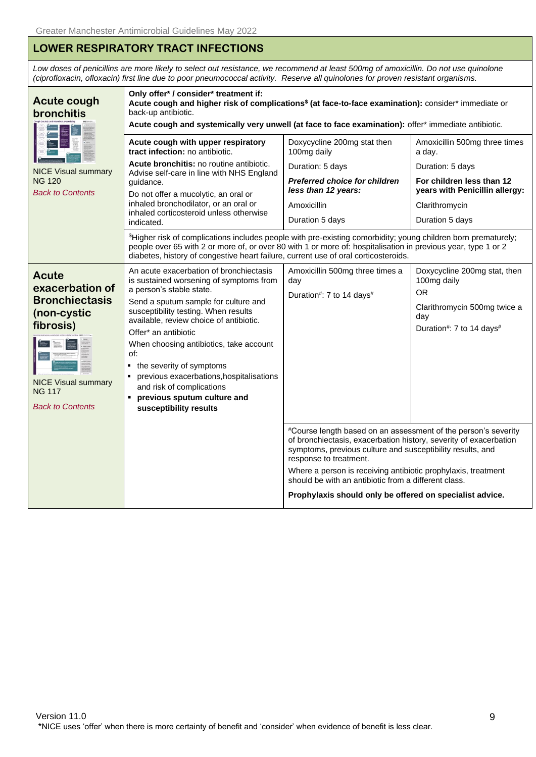## <span id="page-8-0"></span>**LOWER RESPIRATORY TRACT INFECTIONS**

*Low doses of penicillins are more likely to select out resistance, we recommend at least 500mg of amoxicillin. Do not use quinolone (ciprofloxacin, ofloxacin) first line due to poor pneumococcal activity. Reserve all quinolones for proven resistant organisms.*

<span id="page-8-2"></span><span id="page-8-1"></span>

| <b>Acute cough</b><br>bronchitis                                                                                                                                          | Only offer* / consider* treatment if:<br>Acute cough and higher risk of complications <sup>\$</sup> (at face-to-face examination): consider* immediate or<br>back-up antibiotic.<br>Acute cough and systemically very unwell (at face to face examination): offer* immediate antibiotic.                                                                                                                                                                                                                                                                                                                                                        |                                                                                                                                                                 |                                                                                                                                                                 |  |
|---------------------------------------------------------------------------------------------------------------------------------------------------------------------------|-------------------------------------------------------------------------------------------------------------------------------------------------------------------------------------------------------------------------------------------------------------------------------------------------------------------------------------------------------------------------------------------------------------------------------------------------------------------------------------------------------------------------------------------------------------------------------------------------------------------------------------------------|-----------------------------------------------------------------------------------------------------------------------------------------------------------------|-----------------------------------------------------------------------------------------------------------------------------------------------------------------|--|
| <b>NICE Visual summary</b><br><b>NG 120</b><br><b>Back to Contents</b>                                                                                                    | Acute cough with upper respiratory<br>tract infection: no antibiotic.<br>Acute bronchitis: no routine antibiotic.<br>Advise self-care in line with NHS England<br>quidance.<br>Do not offer a mucolytic, an oral or<br>inhaled bronchodilator, or an oral or<br>inhaled corticosteroid unless otherwise<br>indicated.<br>\$Higher risk of complications includes people with pre-existing comorbidity; young children born prematurely;<br>people over 65 with 2 or more of, or over 80 with 1 or more of: hospitalisation in previous year, type 1 or 2<br>diabetes, history of congestive heart failure, current use of oral corticosteroids. | Doxycycline 200mg stat then<br>100mg daily<br>Duration: 5 days<br><b>Preferred choice for children</b><br>less than 12 years:<br>Amoxicillin<br>Duration 5 days | Amoxicillin 500mg three times<br>a day.<br>Duration: 5 days<br>For children less than 12<br>years with Penicillin allergy:<br>Clarithromycin<br>Duration 5 days |  |
| Acute<br>exacerbation of<br><b>Bronchiectasis</b><br>(non-cystic<br>fibrosis)<br><b>Service</b><br><b>NICE Visual summary</b><br><b>NG 117</b><br><b>Back to Contents</b> | An acute exacerbation of bronchiectasis<br>is sustained worsening of symptoms from<br>a person's stable state.<br>Send a sputum sample for culture and<br>susceptibility testing. When results<br>available, review choice of antibiotic.<br>Offer* an antibiotic<br>When choosing antibiotics, take account<br>of:<br>• the severity of symptoms<br>previous exacerbations, hospitalisations<br>and risk of complications<br>previous sputum culture and<br>susceptibility results                                                                                                                                                             | Amoxicillin 500mg three times a<br>day<br>Duration#: 7 to 14 days#                                                                                              | Doxycycline 200mg stat, then<br>100mg daily<br>0R<br>Clarithromycin 500mg twice a<br>day<br>Duration#: 7 to 14 days#                                            |  |
|                                                                                                                                                                           | #Course length based on an assessment of the person's severity<br>of bronchiectasis, exacerbation history, severity of exacerbation<br>symptoms, previous culture and susceptibility results, and<br>response to treatment.<br>Where a person is receiving antibiotic prophylaxis, treatment<br>should be with an antibiotic from a different class.<br>Prophylaxis should only be offered on specialist advice.                                                                                                                                                                                                                                |                                                                                                                                                                 |                                                                                                                                                                 |  |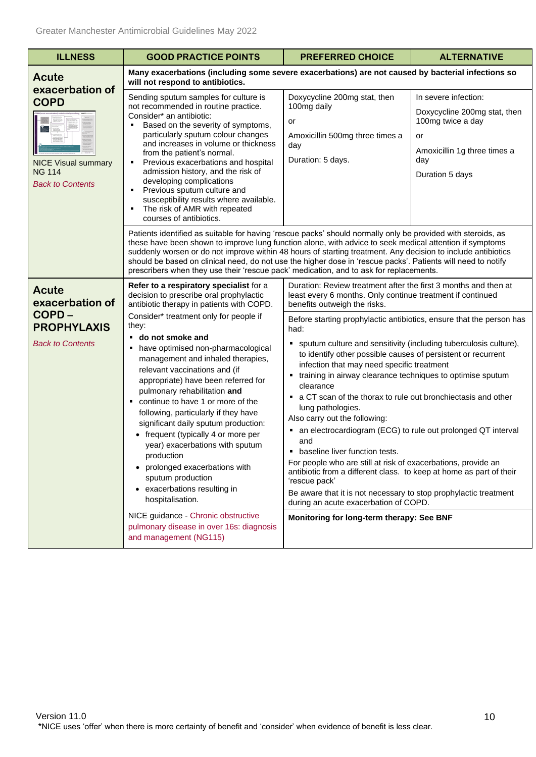<span id="page-9-1"></span><span id="page-9-0"></span>

| <b>ILLNESS</b>                                                                                           | <b>GOOD PRACTICE POINTS</b>                                                                                                                                                                                                                                                                                                                                                                                                                                                                                                                                                       | <b>PREFERRED CHOICE</b>                                                                                                                                                                                                                                                                                                                                                                                                                                                                                                                                                                                                                                                                                                                                                                                                                                                                                                                                                                                                    | <b>ALTERNATIVE</b>                                                                                                                        |  |
|----------------------------------------------------------------------------------------------------------|-----------------------------------------------------------------------------------------------------------------------------------------------------------------------------------------------------------------------------------------------------------------------------------------------------------------------------------------------------------------------------------------------------------------------------------------------------------------------------------------------------------------------------------------------------------------------------------|----------------------------------------------------------------------------------------------------------------------------------------------------------------------------------------------------------------------------------------------------------------------------------------------------------------------------------------------------------------------------------------------------------------------------------------------------------------------------------------------------------------------------------------------------------------------------------------------------------------------------------------------------------------------------------------------------------------------------------------------------------------------------------------------------------------------------------------------------------------------------------------------------------------------------------------------------------------------------------------------------------------------------|-------------------------------------------------------------------------------------------------------------------------------------------|--|
| Acute                                                                                                    | Many exacerbations (including some severe exacerbations) are not caused by bacterial infections so<br>will not respond to antibiotics.                                                                                                                                                                                                                                                                                                                                                                                                                                            |                                                                                                                                                                                                                                                                                                                                                                                                                                                                                                                                                                                                                                                                                                                                                                                                                                                                                                                                                                                                                            |                                                                                                                                           |  |
| exacerbation of<br><b>COPD</b><br><b>NICE Visual summary</b><br><b>NG 114</b><br><b>Back to Contents</b> | Sending sputum samples for culture is<br>not recommended in routine practice.<br>Consider* an antibiotic:<br>Based on the severity of symptoms,<br>particularly sputum colour changes<br>and increases in volume or thickness<br>from the patient's normal.<br>Previous exacerbations and hospital<br>admission history, and the risk of<br>developing complications<br>Previous sputum culture and<br>susceptibility results where available.<br>The risk of AMR with repeated<br>٠<br>courses of antibiotics.                                                                   | Doxycycline 200mg stat, then<br>100mg daily<br>or<br>Amoxicillin 500mg three times a<br>day<br>Duration: 5 days.                                                                                                                                                                                                                                                                                                                                                                                                                                                                                                                                                                                                                                                                                                                                                                                                                                                                                                           | In severe infection:<br>Doxycycline 200mg stat, then<br>100mg twice a day<br>or<br>Amoxicillin 1g three times a<br>day<br>Duration 5 days |  |
|                                                                                                          | Patients identified as suitable for having 'rescue packs' should normally only be provided with steroids, as<br>these have been shown to improve lung function alone, with advice to seek medical attention if symptoms<br>suddenly worsen or do not improve within 48 hours of starting treatment. Any decision to include antibiotics<br>should be based on clinical need, do not use the higher dose in 'rescue packs'. Patients will need to notify<br>prescribers when they use their 'rescue pack' medication, and to ask for replacements.                                 |                                                                                                                                                                                                                                                                                                                                                                                                                                                                                                                                                                                                                                                                                                                                                                                                                                                                                                                                                                                                                            |                                                                                                                                           |  |
| <b>Acute</b><br>exacerbation of                                                                          | Refer to a respiratory specialist for a<br>decision to prescribe oral prophylactic<br>antibiotic therapy in patients with COPD.                                                                                                                                                                                                                                                                                                                                                                                                                                                   | Duration: Review treatment after the first 3 months and then at<br>least every 6 months. Only continue treatment if continued<br>benefits outweigh the risks.<br>Before starting prophylactic antibiotics, ensure that the person has<br>had:<br>• sputum culture and sensitivity (including tuberculosis culture),<br>to identify other possible causes of persistent or recurrent<br>infection that may need specific treatment<br>• training in airway clearance techniques to optimise sputum<br>clearance<br>• a CT scan of the thorax to rule out bronchiectasis and other<br>lung pathologies.<br>Also carry out the following:<br>an electrocardiogram (ECG) to rule out prolonged QT interval<br>٠<br>and<br>baseline liver function tests.<br>For people who are still at risk of exacerbations, provide an<br>antibiotic from a different class. to keep at home as part of their<br>'rescue pack'<br>Be aware that it is not necessary to stop prophylactic treatment<br>during an acute exacerbation of COPD. |                                                                                                                                           |  |
| COPD-<br><b>PROPHYLAXIS</b><br><b>Back to Contents</b>                                                   | Consider* treatment only for people if<br>they:<br>do not smoke and<br>have optimised non-pharmacological<br>management and inhaled therapies,<br>relevant vaccinations and (if<br>appropriate) have been referred for<br>pulmonary rehabilitation and<br>continue to have 1 or more of the<br>٠<br>following, particularly if they have<br>significant daily sputum production:<br>• frequent (typically 4 or more per<br>year) exacerbations with sputum<br>production<br>prolonged exacerbations with<br>sputum production<br>• exacerbations resulting in<br>hospitalisation. |                                                                                                                                                                                                                                                                                                                                                                                                                                                                                                                                                                                                                                                                                                                                                                                                                                                                                                                                                                                                                            |                                                                                                                                           |  |
|                                                                                                          | NICE guidance - Chronic obstructive<br>pulmonary disease in over 16s: diagnosis<br>and management (NG115)                                                                                                                                                                                                                                                                                                                                                                                                                                                                         | Monitoring for long-term therapy: See BNF                                                                                                                                                                                                                                                                                                                                                                                                                                                                                                                                                                                                                                                                                                                                                                                                                                                                                                                                                                                  |                                                                                                                                           |  |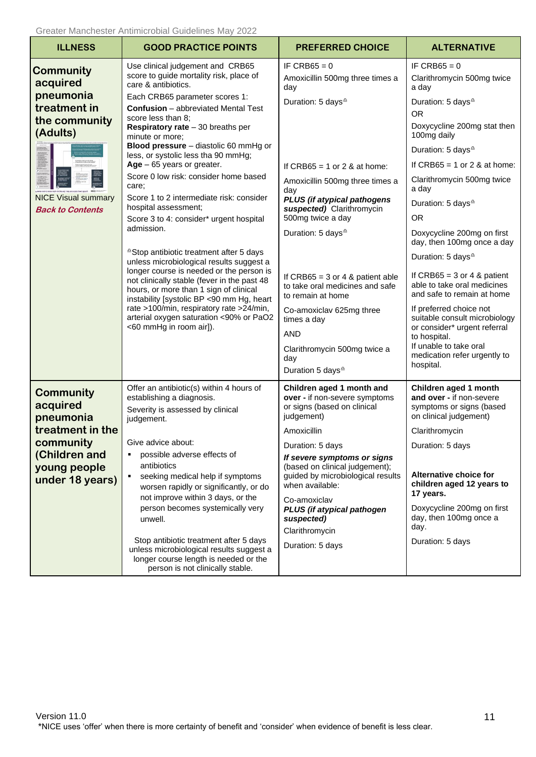| <b>ILLNESS</b>                                                                                                                                  | <b>GOOD PRACTICE POINTS</b>                                                                                                                                                                                                                                                                                                                                                                                                                                                                                                                                                                                                                                                                                                                                                                                                                                                                                                                                                    | <b>PREFERRED CHOICE</b>                                                                                                                                                                                                                                                                                                                                                                                                                                                                                                        | <b>ALTERNATIVE</b>                                                                                                                                                                                                                                                                                                                                                                                                                                                                                                                                                                                                                                                                                                               |
|-------------------------------------------------------------------------------------------------------------------------------------------------|--------------------------------------------------------------------------------------------------------------------------------------------------------------------------------------------------------------------------------------------------------------------------------------------------------------------------------------------------------------------------------------------------------------------------------------------------------------------------------------------------------------------------------------------------------------------------------------------------------------------------------------------------------------------------------------------------------------------------------------------------------------------------------------------------------------------------------------------------------------------------------------------------------------------------------------------------------------------------------|--------------------------------------------------------------------------------------------------------------------------------------------------------------------------------------------------------------------------------------------------------------------------------------------------------------------------------------------------------------------------------------------------------------------------------------------------------------------------------------------------------------------------------|----------------------------------------------------------------------------------------------------------------------------------------------------------------------------------------------------------------------------------------------------------------------------------------------------------------------------------------------------------------------------------------------------------------------------------------------------------------------------------------------------------------------------------------------------------------------------------------------------------------------------------------------------------------------------------------------------------------------------------|
| <b>Community</b><br>acquired<br>pneumonia<br>treatment in<br>the community<br>(Adults)<br><b>NICE Visual summary</b><br><b>Back to Contents</b> | Use clinical judgement and CRB65<br>score to guide mortality risk, place of<br>care & antibiotics.<br>Each CRB65 parameter scores 1:<br><b>Confusion</b> – abbreviated Mental Test<br>score less than 8:<br><b>Respiratory rate</b> $-30$ breaths per<br>minute or more;<br>Blood pressure - diastolic 60 mmHg or<br>less, or systolic less tha 90 mmHg;<br>$Age - 65 years$ or greater.<br>Score 0 low risk: consider home based<br>care;<br>Score 1 to 2 intermediate risk: consider<br>hospital assessment;<br>Score 3 to 4: consider* urgent hospital<br>admission.<br><sup>a</sup> Stop antibiotic treatment after 5 days<br>unless microbiological results suggest a<br>longer course is needed or the person is<br>not clinically stable (fever in the past 48<br>hours, or more than 1 sign of clinical<br>instability [systolic BP <90 mm Hg, heart<br>rate >100/min, respiratory rate >24/min,<br>arterial oxygen saturation <90% or PaO2<br><60 mmHg in room air]). | IF CRB65 = $0$<br>Amoxicillin 500mg three times a<br>day<br>Duration: 5 days <sup>4</sup><br>If CRB65 = 1 or 2 & at home:<br>Amoxicillin 500mg three times a<br>day<br>PLUS (if atypical pathogens<br>suspected) Clarithromycin<br>500mg twice a day<br>Duration: 5 days <sup>4</sup><br>If CRB65 = $3$ or 4 & patient able<br>to take oral medicines and safe<br>to remain at home<br>Co-amoxiclav 625mg three<br>times a day<br><b>AND</b><br>Clarithromycin 500mg twice a<br>day<br>Duration 5 days <sup><sup>2</sup></sup> | IF CRB $65 = 0$<br>Clarithromycin 500mg twice<br>a day<br>Duration: 5 days <sup>4</sup><br><b>OR</b><br>Doxycycline 200mg stat then<br>100mg daily<br>Duration: 5 days <sup><math>\triangle</math></sup><br>If CRB65 = 1 or 2 & at home:<br>Clarithromycin 500mg twice<br>a day<br>Duration: 5 days <sup>4</sup><br><b>OR</b><br>Doxycycline 200mg on first<br>day, then 100mg once a day<br>Duration: 5 days <sup><math>\triangle</math></sup><br>If CRB65 = $3$ or 4 & patient<br>able to take oral medicines<br>and safe to remain at home<br>If preferred choice not<br>suitable consult microbiology<br>or consider* urgent referral<br>to hospital.<br>If unable to take oral<br>medication refer urgently to<br>hospital. |
| <b>Community</b><br>acquired<br>pneumonia<br>treatment in the<br>community<br>(Children and<br>young people<br>under 18 years)                  | Offer an antibiotic(s) within 4 hours of<br>establishing a diagnosis.<br>Severity is assessed by clinical<br>judgement.<br>Give advice about:<br>possible adverse effects of<br>antibiotics<br>seeking medical help if symptoms<br>worsen rapidly or significantly, or do<br>not improve within 3 days, or the<br>person becomes systemically very<br>unwell.<br>Stop antibiotic treatment after 5 days<br>unless microbiological results suggest a<br>longer course length is needed or the<br>person is not clinically stable.                                                                                                                                                                                                                                                                                                                                                                                                                                               | Children aged 1 month and<br>over - if non-severe symptoms<br>or signs (based on clinical<br>judgement)<br>Amoxicillin<br>Duration: 5 days<br>If severe symptoms or signs<br>(based on clinical judgement);<br>guided by microbiological results<br>when available:<br>Co-amoxiclav<br>PLUS (if atypical pathogen<br>suspected)<br>Clarithromycin<br>Duration: 5 days                                                                                                                                                          | Children aged 1 month<br>and over - if non-severe<br>symptoms or signs (based<br>on clinical judgement)<br>Clarithromycin<br>Duration: 5 days<br>Alternative choice for<br>children aged 12 years to<br>17 years.<br>Doxycycline 200mg on first<br>day, then 100mg once a<br>day.<br>Duration: 5 days                                                                                                                                                                                                                                                                                                                                                                                                                            |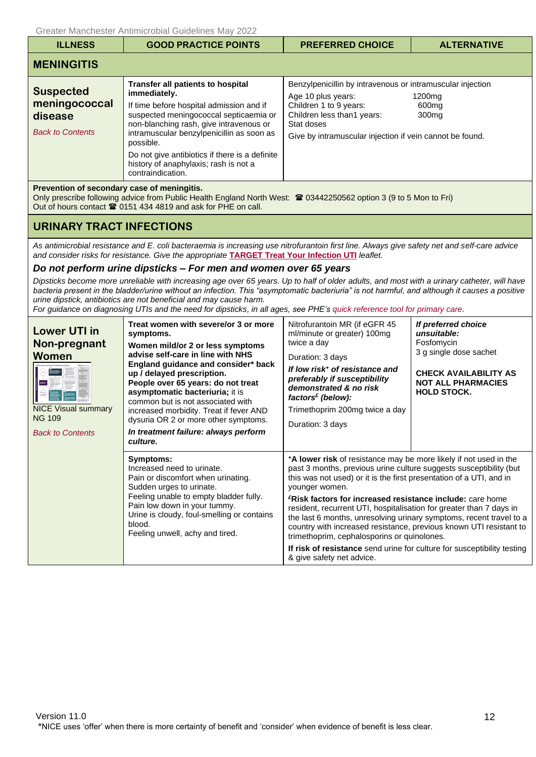<span id="page-11-1"></span><span id="page-11-0"></span>

| <b>ILLNESS</b>                                                          | <b>GOOD PRACTICE POINTS</b>                                                                                                                                                                                                                                                                                                                                         | <b>PREFERRED CHOICE</b>                                                                                                                                                                                            | <b>ALTERNATIVE</b>                               |
|-------------------------------------------------------------------------|---------------------------------------------------------------------------------------------------------------------------------------------------------------------------------------------------------------------------------------------------------------------------------------------------------------------------------------------------------------------|--------------------------------------------------------------------------------------------------------------------------------------------------------------------------------------------------------------------|--------------------------------------------------|
| <b>MENINGITIS</b>                                                       |                                                                                                                                                                                                                                                                                                                                                                     |                                                                                                                                                                                                                    |                                                  |
| <b>Suspected</b><br>meningococcal<br>disease<br><b>Back to Contents</b> | <b>Transfer all patients to hospital</b><br>immediately.<br>If time before hospital admission and if<br>suspected meningococcal septicaemia or<br>non-blanching rash, give intravenous or<br>intramuscular benzylpenicillin as soon as<br>possible.<br>Do not give antibiotics if there is a definite<br>history of anaphylaxis; rash is not a<br>contraindication. | Benzylpenicillin by intravenous or intramuscular injection<br>Age 10 plus years:<br>Children 1 to 9 years:<br>Children less than1 years:<br>Stat doses<br>Give by intramuscular injection if vein cannot be found. | 1200 <sub>mq</sub><br>600mg<br>300 <sub>mg</sub> |
| Prevention of secondary case of meningitis.                             |                                                                                                                                                                                                                                                                                                                                                                     |                                                                                                                                                                                                                    |                                                  |

Only prescribe following advice from Public Health England North West: <sup>2</sup> 03442250562 option 3 (9 to 5 Mon to Fri) Out of hours contact  $\mathbf{\mathfrak{B}}$  0151 434 4819 and ask for PHE on call.

## <span id="page-11-2"></span>**URINARY TRACT INFECTIONS**

*As antimicrobial resistance and E. coli bacteraemia is increasing use nitrofurantoin first line. Always give safety net and self-care advice and consider risks for resistance. Give the appropriate* **[TARGET Treat Your Infection UTI](http://www.rcgp.org.uk/clinical-and-research/resources/toolkits/target-antibiotic-toolkit.aspx)** *leaflet.*

### *Do not perform urine dipsticks – For men and women over 65 years*

*Dipsticks become more unreliable with increasing age over 65 years. Up to half of older adults, and most with a urinary catheter, will have bacteria present in the bladder/urine without an infection. This "asymptomatic bacteriuria" is not harmful, and although it causes a positive urine dipstick, antibiotics are not beneficial and may cause harm.*

*For guidance on diagnosing UTIs and the need for dipsticks, in all ages, see PHE'[s quick reference tool for primary care.](https://www.gov.uk/government/publications/urinary-tract-infection-diagnosis)*

<span id="page-11-3"></span>

| <b>Lower UTI in</b><br>Non-pregnant<br>Women<br><b>WAR</b><br><b>NICE Visual summary</b><br><b>NG 109</b><br><b>Back to Contents</b> | Treat women with severe/or 3 or more<br>symptoms.<br>Women mild/or 2 or less symptoms<br>advise self-care in line with NHS<br>England guidance and consider* back<br>up / delayed prescription.<br>People over 65 years: do not treat<br>asymptomatic bacteriuria; it is<br>common but is not associated with<br>increased morbidity. Treat if fever AND<br>dysuria OR 2 or more other symptoms.<br>In treatment failure: always perform<br>culture. | Nitrofurantoin MR (if eGFR 45<br>ml/minute or greater) 100mg<br>twice a day<br>Duration: 3 days<br>If low risk <sup>+</sup> of resistance and<br>preferably if susceptibility<br>demonstrated & no risk<br>factors $\epsilon$ (below):<br>Trimethoprim 200mg twice a day<br>Duration: 3 days                                                                                                                                                                                                                                                                                                                                                                                         | If preferred choice<br>unsuitable:<br>Fosfomycin<br>3 g single dose sachet<br><b>CHECK AVAILABILITY AS</b><br><b>NOT ALL PHARMACIES</b><br><b>HOLD STOCK.</b> |
|--------------------------------------------------------------------------------------------------------------------------------------|------------------------------------------------------------------------------------------------------------------------------------------------------------------------------------------------------------------------------------------------------------------------------------------------------------------------------------------------------------------------------------------------------------------------------------------------------|--------------------------------------------------------------------------------------------------------------------------------------------------------------------------------------------------------------------------------------------------------------------------------------------------------------------------------------------------------------------------------------------------------------------------------------------------------------------------------------------------------------------------------------------------------------------------------------------------------------------------------------------------------------------------------------|---------------------------------------------------------------------------------------------------------------------------------------------------------------|
|                                                                                                                                      | Symptoms:<br>Increased need to urinate.<br>Pain or discomfort when urinating.<br>Sudden urges to urinate.<br>Feeling unable to empty bladder fully.<br>Pain low down in your tummy.<br>Urine is cloudy, foul-smelling or contains<br>blood.<br>Feeling unwell, achy and tired.                                                                                                                                                                       | *A lower risk of resistance may be more likely if not used in the<br>past 3 months, previous urine culture suggests susceptibility (but<br>this was not used) or it is the first presentation of a UTI, and in<br>younger women.<br><sup>£</sup> Risk factors for increased resistance include: care home<br>resident, recurrent UTI, hospitalisation for greater than 7 days in<br>the last 6 months, unresolving urinary symptoms, recent travel to a<br>country with increased resistance, previous known UTI resistant to<br>trimethoprim, cephalosporins or quinolones.<br>If risk of resistance send urine for culture for susceptibility testing<br>& give safety net advice. |                                                                                                                                                               |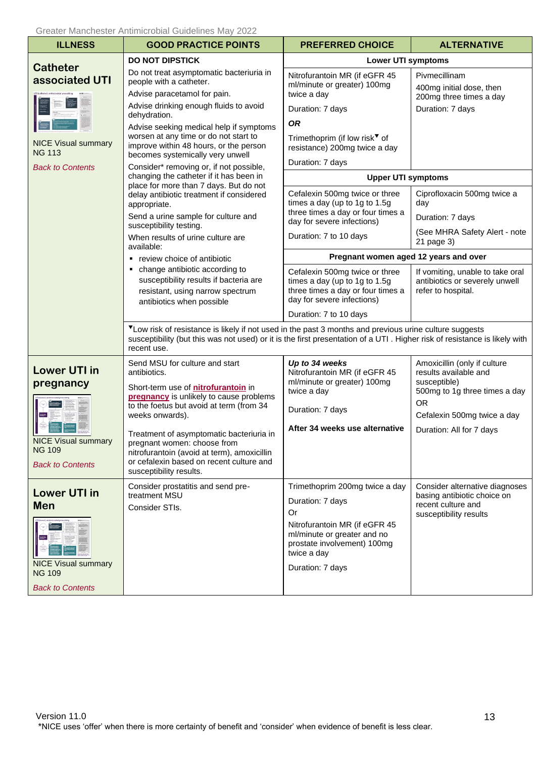<span id="page-12-2"></span><span id="page-12-1"></span><span id="page-12-0"></span>

| <b>ILLNESS</b>                                                                       | <b>GOOD PRACTICE POINTS</b>                                                                                                                                                                                                                         | <b>PREFERRED CHOICE</b>                                                                                                                                  | <b>ALTERNATIVE</b>                                                                                                                                 |
|--------------------------------------------------------------------------------------|-----------------------------------------------------------------------------------------------------------------------------------------------------------------------------------------------------------------------------------------------------|----------------------------------------------------------------------------------------------------------------------------------------------------------|----------------------------------------------------------------------------------------------------------------------------------------------------|
| <b>Catheter</b>                                                                      | <b>DO NOT DIPSTICK</b>                                                                                                                                                                                                                              | <b>Lower UTI symptoms</b>                                                                                                                                |                                                                                                                                                    |
| associated UTI                                                                       | Do not treat asymptomatic bacteriuria in<br>people with a catheter.<br>Advise paracetamol for pain.                                                                                                                                                 | Nitrofurantoin MR (if eGFR 45<br>ml/minute or greater) 100mg<br>twice a day                                                                              | Pivmecillinam<br>400mg initial dose, then<br>200mg three times a day                                                                               |
|                                                                                      | Advise drinking enough fluids to avoid                                                                                                                                                                                                              | Duration: 7 days                                                                                                                                         | Duration: 7 days                                                                                                                                   |
| <b>NICE Visual summary</b><br><b>NG 113</b><br><b>Back to Contents</b>               | dehydration.<br>Advise seeking medical help if symptoms<br>worsen at any time or do not start to<br>improve within 48 hours, or the person<br>becomes systemically very unwell<br>Consider* removing or, if not possible,                           | <b>OR</b><br>Trimethoprim (if low risk <sup>▼</sup> of<br>resistance) 200mg twice a day<br>Duration: 7 days                                              |                                                                                                                                                    |
|                                                                                      | changing the catheter if it has been in                                                                                                                                                                                                             | <b>Upper UTI symptoms</b>                                                                                                                                |                                                                                                                                                    |
|                                                                                      | place for more than 7 days. But do not<br>delay antibiotic treatment if considered<br>appropriate.<br>Send a urine sample for culture and<br>susceptibility testing.                                                                                | Cefalexin 500mg twice or three<br>times a day (up to 1g to 1.5g<br>three times a day or four times a<br>day for severe infections)                       | Ciprofloxacin 500mg twice a<br>day<br>Duration: 7 days                                                                                             |
|                                                                                      | When results of urine culture are<br>available:                                                                                                                                                                                                     | Duration: 7 to 10 days                                                                                                                                   | (See MHRA Safety Alert - note<br>21 page 3)                                                                                                        |
|                                                                                      | • review choice of antibiotic                                                                                                                                                                                                                       | Pregnant women aged 12 years and over                                                                                                                    |                                                                                                                                                    |
|                                                                                      | change antibiotic according to<br>٠<br>susceptibility results if bacteria are<br>resistant, using narrow spectrum<br>antibiotics when possible                                                                                                      | Cefalexin 500mg twice or three<br>times a day (up to 1g to 1.5g<br>three times a day or four times a<br>day for severe infections)                       | If vomiting, unable to take oral<br>antibiotics or severely unwell<br>refer to hospital.                                                           |
|                                                                                      |                                                                                                                                                                                                                                                     | Duration: 7 to 10 days                                                                                                                                   |                                                                                                                                                    |
|                                                                                      | VLow risk of resistance is likely if not used in the past 3 months and previous urine culture suggests<br>susceptibility (but this was not used) or it is the first presentation of a UTI . Higher risk of resistance is likely with<br>recent use. |                                                                                                                                                          |                                                                                                                                                    |
| <b>Lower UTI in</b><br>pregnancy                                                     | Send MSU for culture and start<br>antibiotics.<br>Short-term use of nitrofurantoin in<br>pregnancy is unlikely to cause problems<br>to the foetus but avoid at term (from 34<br>weeks onwards).                                                     | Up to 34 weeks<br>Nitrofurantoin MR (if eGFR 45<br>ml/minute or greater) 100mg<br>twice a day<br>Duration: 7 days                                        | Amoxicillin (only if culture<br>results available and<br>susceptible)<br>500mg to 1g three times a day<br><b>OR</b><br>Cefalexin 500mg twice a day |
| <b>NICE Visual summary</b><br><b>NG 109</b><br><b>Back to Contents</b>               | Treatment of asymptomatic bacteriuria in<br>pregnant women: choose from<br>nitrofurantoin (avoid at term), amoxicillin<br>or cefalexin based on recent culture and<br>susceptibility results.                                                       | After 34 weeks use alternative                                                                                                                           | Duration: All for 7 days                                                                                                                           |
| <b>Lower UTI in</b>                                                                  | Consider prostatitis and send pre-<br>treatment MSU                                                                                                                                                                                                 | Trimethoprim 200mg twice a day                                                                                                                           | Consider alternative diagnoses<br>basing antibiotic choice on                                                                                      |
| <b>Men</b><br><b>NICE Visual summary</b><br><b>NG 109</b><br><b>Back to Contents</b> | Consider STIs.                                                                                                                                                                                                                                      | Duration: 7 days<br>0r<br>Nitrofurantoin MR (if eGFR 45<br>ml/minute or greater and no<br>prostate involvement) 100mg<br>twice a day<br>Duration: 7 days | recent culture and<br>susceptibility results                                                                                                       |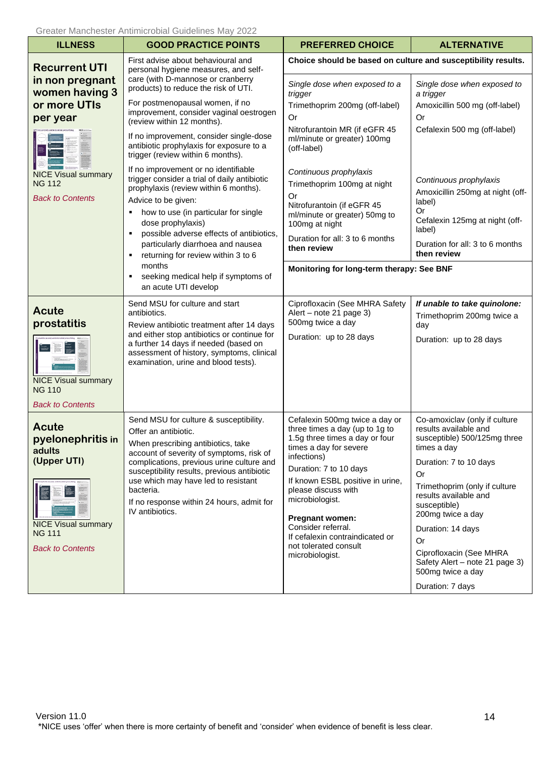<span id="page-13-2"></span><span id="page-13-1"></span><span id="page-13-0"></span>

| <b>ILLNESS</b>                                                         | <b>GOOD PRACTICE POINTS</b>                                                                                                                                               | <b>PREFERRED CHOICE</b>                                                                                                                     | <b>ALTERNATIVE</b>                                                                                    |
|------------------------------------------------------------------------|---------------------------------------------------------------------------------------------------------------------------------------------------------------------------|---------------------------------------------------------------------------------------------------------------------------------------------|-------------------------------------------------------------------------------------------------------|
| <b>Recurrent UTI</b>                                                   | First advise about behavioural and<br>personal hygiene measures, and self-                                                                                                | Choice should be based on culture and susceptibility results.                                                                               |                                                                                                       |
| in non pregnant<br>women having 3                                      | care (with D-mannose or cranberry<br>products) to reduce the risk of UTI.                                                                                                 | Single dose when exposed to a<br>trigger                                                                                                    | Single dose when exposed to<br>a trigger                                                              |
| or more UTIs<br>per year                                               | For postmenopausal women, if no<br>improvement, consider vaginal oestrogen<br>(review within 12 months).                                                                  | Trimethoprim 200mg (off-label)<br>Or                                                                                                        | Amoxicillin 500 mg (off-label)<br>Or                                                                  |
|                                                                        | If no improvement, consider single-dose<br>antibiotic prophylaxis for exposure to a<br>trigger (review within 6 months).                                                  | Nitrofurantoin MR (if eGFR 45<br>ml/minute or greater) 100mg<br>(off-label)                                                                 | Cefalexin 500 mg (off-label)                                                                          |
| <b>NICE Visual summary</b><br><b>NG 112</b><br><b>Back to Contents</b> | If no improvement or no identifiable<br>trigger consider a trial of daily antibiotic<br>prophylaxis (review within 6 months).                                             | Continuous prophylaxis<br>Trimethoprim 100mg at night<br><b>Or</b>                                                                          | Continuous prophylaxis<br>Amoxicillin 250mg at night (off-                                            |
|                                                                        | Advice to be given:<br>how to use (in particular for single<br>dose prophylaxis)<br>possible adverse effects of antibiotics,                                              | Nitrofurantoin (if eGFR 45<br>ml/minute or greater) 50mg to<br>100mg at night                                                               | label)<br><b>Or</b><br>Cefalexin 125mg at night (off-<br>label)                                       |
|                                                                        | particularly diarrhoea and nausea<br>returning for review within 3 to 6<br>months<br>seeking medical help if symptoms of                                                  | Duration for all: 3 to 6 months<br>then review                                                                                              | Duration for all: 3 to 6 months<br>then review                                                        |
|                                                                        |                                                                                                                                                                           | Monitoring for long-term therapy: See BNF                                                                                                   |                                                                                                       |
|                                                                        | an acute UTI develop                                                                                                                                                      |                                                                                                                                             |                                                                                                       |
| <b>Acute</b><br>prostatitis                                            | Send MSU for culture and start<br>antibiotics.<br>Review antibiotic treatment after 14 days                                                                               | Ciprofloxacin (See MHRA Safety<br>Alert - note 21 page 3)<br>500mg twice a day                                                              | If unable to take quinolone:<br>Trimethoprim 200mg twice a<br>day                                     |
| <b>NICE Visual summary</b><br><b>NG 110</b>                            | and either stop antibiotics or continue for<br>a further 14 days if needed (based on<br>assessment of history, symptoms, clinical<br>examination, urine and blood tests). | Duration: up to 28 days                                                                                                                     | Duration: up to 28 days                                                                               |
| <b>Back to Contents</b>                                                |                                                                                                                                                                           |                                                                                                                                             |                                                                                                       |
| Acute<br>pyelonephritis in<br>adults                                   | Send MSU for culture & susceptibility.<br>Offer an antibiotic.<br>When prescribing antibiotics, take<br>account of severity of symptoms, risk of                          | Cefalexin 500mg twice a day or<br>three times a day (up to 1g to<br>1.5g three times a day or four<br>times a day for severe<br>infections) | Co-amoxiclav (only if culture<br>results available and<br>susceptible) 500/125mg three<br>times a day |
| (Upper UTI)                                                            | complications, previous urine culture and<br>susceptibility results, previous antibiotic                                                                                  | Duration: 7 to 10 days                                                                                                                      | Duration: 7 to 10 days<br>Or                                                                          |
| <b>NICE Visual summary</b><br><b>NG 111</b><br><b>Back to Contents</b> | use which may have led to resistant<br>bacteria.<br>If no response within 24 hours, admit for<br>IV antibiotics.                                                          | If known ESBL positive in urine,<br>please discuss with<br>microbiologist.                                                                  | Trimethoprim (only if culture<br>results available and<br>susceptible)<br>200mg twice a day           |
|                                                                        |                                                                                                                                                                           | <b>Pregnant women:</b><br>Consider referral.                                                                                                | Duration: 14 days                                                                                     |
|                                                                        |                                                                                                                                                                           | If cefalexin contraindicated or<br>not tolerated consult                                                                                    | Or                                                                                                    |
|                                                                        |                                                                                                                                                                           | microbiologist.                                                                                                                             | Ciprofloxacin (See MHRA<br>Safety Alert - note 21 page 3)<br>500mg twice a day                        |
|                                                                        |                                                                                                                                                                           |                                                                                                                                             | Duration: 7 days                                                                                      |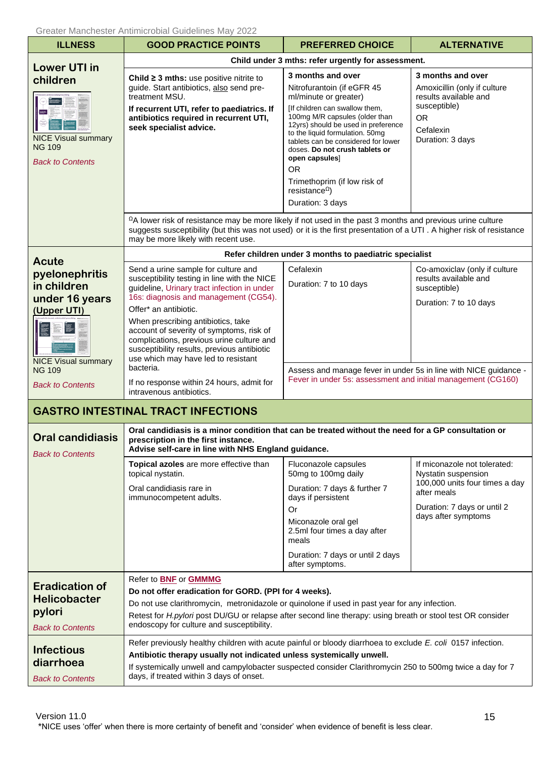<span id="page-14-5"></span><span id="page-14-4"></span><span id="page-14-3"></span><span id="page-14-2"></span><span id="page-14-1"></span><span id="page-14-0"></span>

| <b>ILLNESS</b>                                                                               | <b>GOOD PRACTICE POINTS</b>                                                                                                                                                                                                                                                                                                                                                                                               | <b>PREFERRED CHOICE</b>                                                                                                                                                                                                                                                                                                                                                                                                           | <b>ALTERNATIVE</b>                                                                                                                                         |
|----------------------------------------------------------------------------------------------|---------------------------------------------------------------------------------------------------------------------------------------------------------------------------------------------------------------------------------------------------------------------------------------------------------------------------------------------------------------------------------------------------------------------------|-----------------------------------------------------------------------------------------------------------------------------------------------------------------------------------------------------------------------------------------------------------------------------------------------------------------------------------------------------------------------------------------------------------------------------------|------------------------------------------------------------------------------------------------------------------------------------------------------------|
| <b>Lower UTI in</b>                                                                          |                                                                                                                                                                                                                                                                                                                                                                                                                           | Child under 3 mths: refer urgently for assessment.                                                                                                                                                                                                                                                                                                                                                                                |                                                                                                                                                            |
| children<br>ang-<br><b>NICE Visual summary</b><br><b>NG 109</b><br><b>Back to Contents</b>   | Child $\geq$ 3 mths: use positive nitrite to<br>guide. Start antibiotics, also send pre-<br>treatment MSU.<br>If recurrent UTI, refer to paediatrics. If<br>antibiotics required in recurrent UTI,<br>seek specialist advice.                                                                                                                                                                                             | 3 months and over<br>Nitrofurantoin (if eGFR 45<br>ml/minute or greater)<br>[If children can swallow them,<br>100mg M/R capsules (older than<br>12yrs) should be used in preference<br>to the liquid formulation. 50mg<br>tablets can be considered for lower<br>doses. Do not crush tablets or<br>open capsules]<br><b>OR</b><br>Trimethoprim (if low risk of<br>resistance <sup><math>\Omega</math></sup> )<br>Duration: 3 days | 3 months and over<br>Amoxicillin (only if culture<br>results available and<br>susceptible)<br><b>OR</b><br>Cefalexin<br>Duration: 3 days                   |
|                                                                                              | $\Omega$ A lower risk of resistance may be more likely if not used in the past 3 months and previous urine culture<br>suggests susceptibility (but this was not used) or it is the first presentation of a UTI . A higher risk of resistance<br>may be more likely with recent use.                                                                                                                                       |                                                                                                                                                                                                                                                                                                                                                                                                                                   |                                                                                                                                                            |
| <b>Acute</b>                                                                                 |                                                                                                                                                                                                                                                                                                                                                                                                                           | Refer children under 3 months to paediatric specialist                                                                                                                                                                                                                                                                                                                                                                            |                                                                                                                                                            |
| pyelonephritis<br>in children<br>under 16 years<br>(Upper UTI)<br><b>NICE Visual summary</b> | Send a urine sample for culture and<br>susceptibility testing in line with the NICE<br>guideline, Urinary tract infection in under<br>16s: diagnosis and management (CG54).<br>Offer* an antibiotic.<br>When prescribing antibiotics, take<br>account of severity of symptoms, risk of<br>complications, previous urine culture and<br>susceptibility results, previous antibiotic<br>use which may have led to resistant | Cefalexin<br>Duration: 7 to 10 days                                                                                                                                                                                                                                                                                                                                                                                               | Co-amoxiclav (only if culture<br>results available and<br>susceptible)<br>Duration: 7 to 10 days                                                           |
| <b>NG 109</b><br><b>Back to Contents</b>                                                     | bacteria.<br>If no response within 24 hours, admit for<br>intravenous antibiotics.                                                                                                                                                                                                                                                                                                                                        | Assess and manage fever in under 5s in line with NICE guidance -<br>Fever in under 5s: assessment and initial management (CG160)                                                                                                                                                                                                                                                                                                  |                                                                                                                                                            |
|                                                                                              | <b>GASTRO INTESTINAL TRACT INFECTIONS</b>                                                                                                                                                                                                                                                                                                                                                                                 |                                                                                                                                                                                                                                                                                                                                                                                                                                   |                                                                                                                                                            |
| <b>Oral candidiasis</b><br><b>Back to Contents</b>                                           | Oral candidiasis is a minor condition that can be treated without the need for a GP consultation or<br>prescription in the first instance.<br>Advise self-care in line with NHS England guidance.                                                                                                                                                                                                                         |                                                                                                                                                                                                                                                                                                                                                                                                                                   |                                                                                                                                                            |
|                                                                                              | Topical azoles are more effective than<br>topical nystatin.<br>Oral candidiasis rare in<br>immunocompetent adults.                                                                                                                                                                                                                                                                                                        | Fluconazole capsules<br>50mg to 100mg daily<br>Duration: 7 days & further 7<br>days if persistent<br>Or<br>Miconazole oral gel<br>2.5ml four times a day after<br>meals<br>Duration: 7 days or until 2 days<br>after symptoms.                                                                                                                                                                                                    | If miconazole not tolerated:<br>Nystatin suspension<br>100,000 units four times a day<br>after meals<br>Duration: 7 days or until 2<br>days after symptoms |
| <b>Eradication of</b><br><b>Helicobacter</b><br>pylori<br><b>Back to Contents</b>            | Refer to <b>BNF</b> or <b>GMMMG</b><br>Do not offer eradication for GORD. (PPI for 4 weeks).<br>Do not use clarithromycin, metronidazole or quinolone if used in past year for any infection.<br>Retest for H.pylori post DU/GU or relapse after second line therapy: using breath or stool test OR consider<br>endoscopy for culture and susceptibility.                                                                 |                                                                                                                                                                                                                                                                                                                                                                                                                                   |                                                                                                                                                            |
| <b>Infectious</b><br>diarrhoea<br><b>Back to Contents</b>                                    | Refer previously healthy children with acute painful or bloody diarrhoea to exclude E. coli 0157 infection.<br>Antibiotic therapy usually not indicated unless systemically unwell.<br>If systemically unwell and campylobacter suspected consider Clarithromycin 250 to 500mg twice a day for 7<br>days, if treated within 3 days of onset.                                                                              |                                                                                                                                                                                                                                                                                                                                                                                                                                   |                                                                                                                                                            |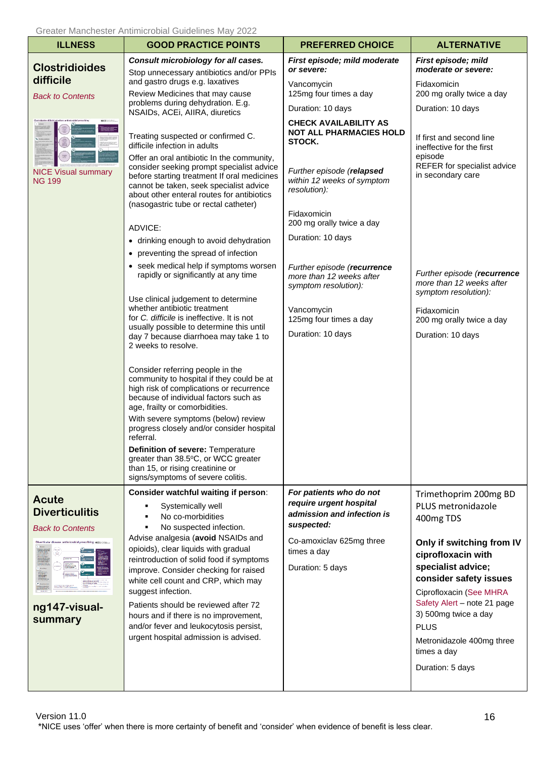<span id="page-15-0"></span>

| <b>ILLNESS</b>                                                                                                                                                                 | <b>GOOD PRACTICE POINTS</b>                                                                                                                                                                                                                                                                                                                                                                                                                                                                                   | <b>PREFERRED CHOICE</b>                                                                                                                                                                         | <b>ALTERNATIVE</b>                                                                                                                                                                                                                                                                                                           |
|--------------------------------------------------------------------------------------------------------------------------------------------------------------------------------|---------------------------------------------------------------------------------------------------------------------------------------------------------------------------------------------------------------------------------------------------------------------------------------------------------------------------------------------------------------------------------------------------------------------------------------------------------------------------------------------------------------|-------------------------------------------------------------------------------------------------------------------------------------------------------------------------------------------------|------------------------------------------------------------------------------------------------------------------------------------------------------------------------------------------------------------------------------------------------------------------------------------------------------------------------------|
| <b>Clostridioides</b>                                                                                                                                                          | Consult microbiology for all cases.<br>Stop unnecessary antibiotics and/or PPIs                                                                                                                                                                                                                                                                                                                                                                                                                               | First episode; mild moderate<br>or severe:                                                                                                                                                      | First episode; mild<br>moderate or severe:                                                                                                                                                                                                                                                                                   |
| difficile<br><b>Back to Contents</b>                                                                                                                                           | and gastro drugs e.g. laxatives<br>Review Medicines that may cause                                                                                                                                                                                                                                                                                                                                                                                                                                            | Vancomycin<br>125mg four times a day                                                                                                                                                            | Fidaxomicin<br>200 mg orally twice a day                                                                                                                                                                                                                                                                                     |
|                                                                                                                                                                                | problems during dehydration. E.g.<br>NSAIDs, ACEi, AIIRA, diuretics                                                                                                                                                                                                                                                                                                                                                                                                                                           | Duration: 10 days                                                                                                                                                                               | Duration: 10 days                                                                                                                                                                                                                                                                                                            |
| <b>NICE Visual summary</b><br><b>NG 199</b>                                                                                                                                    | Treating suspected or confirmed C.<br>difficile infection in adults<br>Offer an oral antibiotic In the community,<br>consider seeking prompt specialist advice<br>before starting treatment If oral medicines<br>cannot be taken, seek specialist advice<br>about other enteral routes for antibiotics<br>(nasogastric tube or rectal catheter)<br>ADVICE:                                                                                                                                                    | <b>CHECK AVAILABILITY AS</b><br><b>NOT ALL PHARMACIES HOLD</b><br>STOCK.<br>Further episode (relapsed<br>within 12 weeks of symptom<br>resolution):<br>Fidaxomicin<br>200 mg orally twice a day | If first and second line<br>ineffective for the first<br>episode<br>REFER for specialist advice<br>in secondary care                                                                                                                                                                                                         |
|                                                                                                                                                                                | • drinking enough to avoid dehydration                                                                                                                                                                                                                                                                                                                                                                                                                                                                        | Duration: 10 days                                                                                                                                                                               |                                                                                                                                                                                                                                                                                                                              |
|                                                                                                                                                                                | • preventing the spread of infection                                                                                                                                                                                                                                                                                                                                                                                                                                                                          |                                                                                                                                                                                                 |                                                                                                                                                                                                                                                                                                                              |
|                                                                                                                                                                                | • seek medical help if symptoms worsen<br>rapidly or significantly at any time                                                                                                                                                                                                                                                                                                                                                                                                                                | Further episode (recurrence<br>more than 12 weeks after<br>symptom resolution):                                                                                                                 | Further episode (recurrence<br>more than 12 weeks after<br>symptom resolution):                                                                                                                                                                                                                                              |
|                                                                                                                                                                                | Use clinical judgement to determine<br>whether antibiotic treatment<br>for C. difficile is ineffective. It is not<br>usually possible to determine this until<br>day 7 because diarrhoea may take 1 to<br>2 weeks to resolve.                                                                                                                                                                                                                                                                                 | Vancomycin<br>125mg four times a day<br>Duration: 10 days                                                                                                                                       | Fidaxomicin<br>200 mg orally twice a day<br>Duration: 10 days                                                                                                                                                                                                                                                                |
|                                                                                                                                                                                | Consider referring people in the<br>community to hospital if they could be at<br>high risk of complications or recurrence<br>because of individual factors such as<br>age, frailty or comorbidities.<br>With severe symptoms (below) review<br>progress closely and/or consider hospital<br>referral.<br>Definition of severe: Temperature<br>greater than 38.5°C, or WCC greater<br>than 15, or rising creatinine or<br>signs/symptoms of severe colitis.                                                    |                                                                                                                                                                                                 |                                                                                                                                                                                                                                                                                                                              |
| <b>Acute</b><br><b>Diverticulitis</b><br><b>Back to Contents</b><br>Diverticular disease: antimicrobial prescribing wor<br>istransiinä<br>Suomessa<br>ng147-visual-<br>summary | Consider watchful waiting if person:<br>Systemically well<br>No co-morbidities<br>No suspected infection.<br>Advise analgesia (avoid NSAIDs and<br>opioids), clear liquids with gradual<br>reintroduction of solid food if symptoms<br>improve. Consider checking for raised<br>white cell count and CRP, which may<br>suggest infection.<br>Patients should be reviewed after 72<br>hours and if there is no improvement,<br>and/or fever and leukocytosis persist,<br>urgent hospital admission is advised. | For patients who do not<br>require urgent hospital<br>admission and infection is<br>suspected:<br>Co-amoxiclav 625mg three<br>times a day<br>Duration: 5 days                                   | Trimethoprim 200mg BD<br>PLUS metronidazole<br>400mg TDS<br>Only if switching from IV<br>ciprofloxacin with<br>specialist advice;<br>consider safety issues<br>Ciprofloxacin (See MHRA<br>Safety Alert - note 21 page<br>3) 500mg twice a day<br><b>PLUS</b><br>Metronidazole 400mg three<br>times a day<br>Duration: 5 days |

<span id="page-15-1"></span>Version 11.0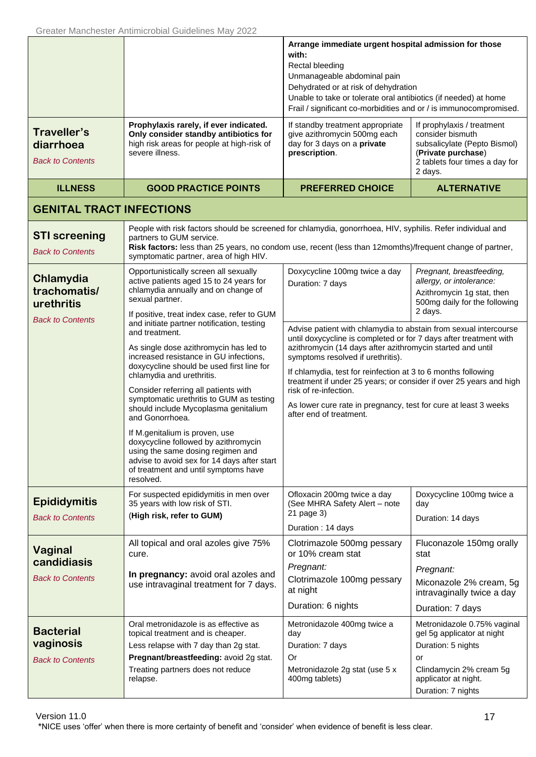<span id="page-16-3"></span><span id="page-16-2"></span><span id="page-16-1"></span><span id="page-16-0"></span>

|                                                                    |                                                                                                                                                                                                                                                                                                                                                                                                                                                                                                                                                                                              | Arrange immediate urgent hospital admission for those<br>with:<br>Rectal bleeding<br>Unmanageable abdominal pain<br>Dehydrated or at risk of dehydration<br>Unable to take or tolerate oral antibiotics (if needed) at home<br>Frail / significant co-morbidities and or / is immunocompromised.                                                                                                                                                                                                       |                                                                                                                                                                |
|--------------------------------------------------------------------|----------------------------------------------------------------------------------------------------------------------------------------------------------------------------------------------------------------------------------------------------------------------------------------------------------------------------------------------------------------------------------------------------------------------------------------------------------------------------------------------------------------------------------------------------------------------------------------------|--------------------------------------------------------------------------------------------------------------------------------------------------------------------------------------------------------------------------------------------------------------------------------------------------------------------------------------------------------------------------------------------------------------------------------------------------------------------------------------------------------|----------------------------------------------------------------------------------------------------------------------------------------------------------------|
| Traveller's<br>diarrhoea<br><b>Back to Contents</b>                | Prophylaxis rarely, if ever indicated.<br>Only consider standby antibiotics for<br>high risk areas for people at high-risk of<br>severe illness.                                                                                                                                                                                                                                                                                                                                                                                                                                             | If standby treatment appropriate<br>give azithromycin 500mg each<br>day for 3 days on a private<br>prescription.                                                                                                                                                                                                                                                                                                                                                                                       | If prophylaxis / treatment<br>consider bismuth<br>subsalicylate (Pepto Bismol)<br>(Private purchase)<br>2 tablets four times a day for<br>2 days.              |
| <b>ILLNESS</b>                                                     | <b>GOOD PRACTICE POINTS</b>                                                                                                                                                                                                                                                                                                                                                                                                                                                                                                                                                                  | <b>PREFERRED CHOICE</b>                                                                                                                                                                                                                                                                                                                                                                                                                                                                                | <b>ALTERNATIVE</b>                                                                                                                                             |
| <b>GENITAL TRACT INFECTIONS</b>                                    |                                                                                                                                                                                                                                                                                                                                                                                                                                                                                                                                                                                              |                                                                                                                                                                                                                                                                                                                                                                                                                                                                                                        |                                                                                                                                                                |
| <b>STI screening</b><br><b>Back to Contents</b>                    | People with risk factors should be screened for chlamydia, gonorrhoea, HIV, syphilis. Refer individual and<br>partners to GUM service.<br>Risk factors: less than 25 years, no condom use, recent (less than 12momths)/frequent change of partner,<br>symptomatic partner, area of high HIV.                                                                                                                                                                                                                                                                                                 |                                                                                                                                                                                                                                                                                                                                                                                                                                                                                                        |                                                                                                                                                                |
| Chlamydia<br>trachomatis/<br>urethritis<br><b>Back to Contents</b> | Opportunistically screen all sexually<br>active patients aged 15 to 24 years for<br>chlamydia annually and on change of<br>sexual partner.<br>If positive, treat index case, refer to GUM                                                                                                                                                                                                                                                                                                                                                                                                    | Doxycycline 100mg twice a day<br>Duration: 7 days                                                                                                                                                                                                                                                                                                                                                                                                                                                      | Pregnant, breastfeeding,<br>allergy, or intolerance:<br>Azithromycin 1g stat, then<br>500mg daily for the following<br>2 days.                                 |
|                                                                    | and initiate partner notification, testing<br>and treatment.<br>As single dose azithromycin has led to<br>increased resistance in GU infections,<br>doxycycline should be used first line for<br>chlamydia and urethritis.<br>Consider referring all patients with<br>symptomatic urethritis to GUM as testing<br>should include Mycoplasma genitalium<br>and Gonorrhoea.<br>If M.genitalium is proven, use<br>doxycycline followed by azithromycin<br>using the same dosing regimen and<br>advise to avoid sex for 14 days after start<br>of treatment and until symptoms have<br>resolved. | Advise patient with chlamydia to abstain from sexual intercourse<br>until doxycycline is completed or for 7 days after treatment with<br>azithromycin (14 days after azithromycin started and until<br>symptoms resolved if urethritis).<br>If chlamydia, test for reinfection at 3 to 6 months following<br>treatment if under 25 years; or consider if over 25 years and high<br>risk of re-infection.<br>As lower cure rate in pregnancy, test for cure at least 3 weeks<br>after end of treatment. |                                                                                                                                                                |
| <b>Epididymitis</b><br><b>Back to Contents</b>                     | For suspected epididymitis in men over<br>35 years with low risk of STI.<br>(High risk, refer to GUM)                                                                                                                                                                                                                                                                                                                                                                                                                                                                                        | Ofloxacin 200mg twice a day<br>(See MHRA Safety Alert - note<br>21 page 3)<br>Duration: 14 days                                                                                                                                                                                                                                                                                                                                                                                                        | Doxycycline 100mg twice a<br>day<br>Duration: 14 days                                                                                                          |
| Vaginal<br>candidiasis<br><b>Back to Contents</b>                  | All topical and oral azoles give 75%<br>cure.<br>In pregnancy: avoid oral azoles and<br>use intravaginal treatment for 7 days.                                                                                                                                                                                                                                                                                                                                                                                                                                                               | Clotrimazole 500mg pessary<br>or 10% cream stat<br>Pregnant:<br>Clotrimazole 100mg pessary<br>at night<br>Duration: 6 nights                                                                                                                                                                                                                                                                                                                                                                           | Fluconazole 150mg orally<br>stat<br>Pregnant:<br>Miconazole 2% cream, 5g<br>intravaginally twice a day<br>Duration: 7 days                                     |
| <b>Bacterial</b><br>vaginosis<br><b>Back to Contents</b>           | Oral metronidazole is as effective as<br>topical treatment and is cheaper.<br>Less relapse with 7 day than 2g stat.<br>Pregnant/breastfeeding: avoid 2g stat.<br>Treating partners does not reduce<br>relapse.                                                                                                                                                                                                                                                                                                                                                                               | Metronidazole 400mg twice a<br>day<br>Duration: 7 days<br>Or<br>Metronidazole 2g stat (use 5 x<br>400mg tablets)                                                                                                                                                                                                                                                                                                                                                                                       | Metronidazole 0.75% vaginal<br>gel 5g applicator at night<br>Duration: 5 nights<br>or<br>Clindamycin 2% cream 5g<br>applicator at night.<br>Duration: 7 nights |

<span id="page-16-6"></span><span id="page-16-5"></span><span id="page-16-4"></span>Version 11.0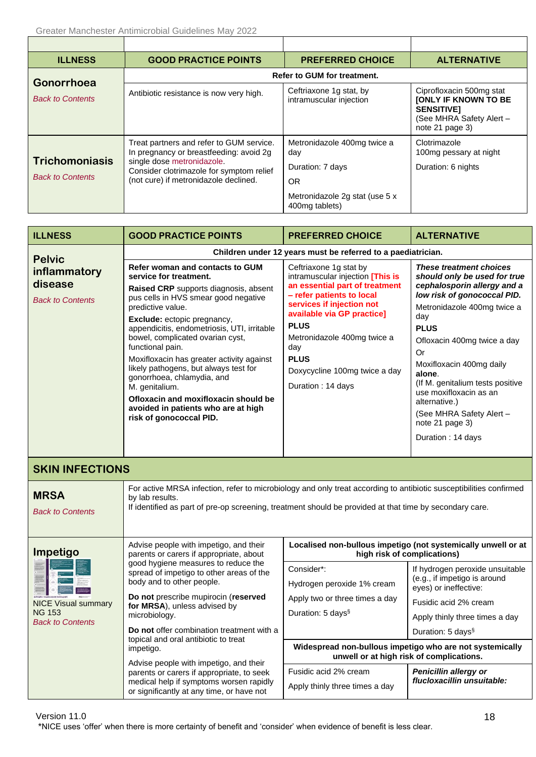<span id="page-17-0"></span>

| <b>ILLNESS</b>                                   | <b>GOOD PRACTICE POINTS</b>                                                                                                                                                                            | <b>PREFERRED CHOICE</b>                                             | <b>ALTERNATIVE</b>                                                                                                          |
|--------------------------------------------------|--------------------------------------------------------------------------------------------------------------------------------------------------------------------------------------------------------|---------------------------------------------------------------------|-----------------------------------------------------------------------------------------------------------------------------|
| <b>Gonorrhoea</b>                                |                                                                                                                                                                                                        | <b>Refer to GUM for treatment.</b>                                  |                                                                                                                             |
| <b>Back to Contents</b>                          | Antibiotic resistance is now very high.                                                                                                                                                                | Ceftriaxone 1g stat, by<br>intramuscular injection                  | Ciprofloxacin 500mg stat<br><b>JONLY IF KNOWN TO BE</b><br><b>SENSITIVET</b><br>(See MHRA Safety Alert -<br>note 21 page 3) |
| <b>Trichomoniasis</b><br><b>Back to Contents</b> | Treat partners and refer to GUM service.<br>In pregnancy or breastfeeding: avoid 2g<br>single dose metronidazole.<br>Consider clotrimazole for symptom relief<br>(not cure) if metronidazole declined. | Metronidazole 400mg twice a<br>day<br>Duration: 7 days<br><b>OR</b> | Clotrimazole<br>100mg pessary at night<br>Duration: 6 nights                                                                |
|                                                  |                                                                                                                                                                                                        | Metronidazole 2g stat (use 5 x<br>400mg tablets)                    |                                                                                                                             |

<span id="page-17-3"></span><span id="page-17-2"></span><span id="page-17-1"></span>

| <b>ILLNESS</b>                                                         | <b>GOOD PRACTICE POINTS</b>                                                                                                                                                                                                                                                                                                                                                                                                                                                                                                                           | <b>PREFERRED CHOICE</b>                                                                                                                                                                                                                                                                                        | <b>ALTERNATIVE</b>                                                                                                                                                                                                                                                                                                                                                                                              |  |
|------------------------------------------------------------------------|-------------------------------------------------------------------------------------------------------------------------------------------------------------------------------------------------------------------------------------------------------------------------------------------------------------------------------------------------------------------------------------------------------------------------------------------------------------------------------------------------------------------------------------------------------|----------------------------------------------------------------------------------------------------------------------------------------------------------------------------------------------------------------------------------------------------------------------------------------------------------------|-----------------------------------------------------------------------------------------------------------------------------------------------------------------------------------------------------------------------------------------------------------------------------------------------------------------------------------------------------------------------------------------------------------------|--|
| <b>Pelvic</b>                                                          | Children under 12 years must be referred to a paediatrician.                                                                                                                                                                                                                                                                                                                                                                                                                                                                                          |                                                                                                                                                                                                                                                                                                                |                                                                                                                                                                                                                                                                                                                                                                                                                 |  |
| inflammatory<br>disease<br><b>Back to Contents</b>                     | Refer woman and contacts to GUM<br>service for treatment.<br>Raised CRP supports diagnosis, absent<br>pus cells in HVS smear good negative<br>predictive value.<br>Exclude: ectopic pregnancy,<br>appendicitis, endometriosis, UTI, irritable<br>bowel, complicated ovarian cyst,<br>functional pain.<br>Moxifloxacin has greater activity against<br>likely pathogens, but always test for<br>gonorrhoea, chlamydia, and<br>M. genitalium.<br>Ofloxacin and moxifloxacin should be<br>avoided in patients who are at high<br>risk of gonococcal PID. | Ceftriaxone 1g stat by<br>intramuscular injection [This is<br>an essential part of treatment<br>- refer patients to local<br>services if injection not<br>available via GP practice]<br><b>PLUS</b><br>Metronidazole 400mg twice a<br>day<br><b>PLUS</b><br>Doxycycline 100mg twice a day<br>Duration: 14 days | <b>These treatment choices</b><br>should only be used for true<br>cephalosporin allergy and a<br>low risk of gonococcal PID.<br>Metronidazole 400mg twice a<br>day<br><b>PLUS</b><br>Ofloxacin 400mg twice a day<br>Or<br>Moxifloxacin 400mg daily<br>alone.<br>(If M. genitalium tests positive<br>use moxifloxacin as an<br>alternative.)<br>(See MHRA Safety Alert -<br>note 21 page 3)<br>Duration: 14 days |  |
| <b>SKIN INFECTIONS</b>                                                 |                                                                                                                                                                                                                                                                                                                                                                                                                                                                                                                                                       |                                                                                                                                                                                                                                                                                                                |                                                                                                                                                                                                                                                                                                                                                                                                                 |  |
| <b>MRSA</b><br><b>Back to Contents</b>                                 | For active MRSA infection, refer to microbiology and only treat according to antibiotic susceptibilities confirmed<br>by lab results.<br>If identified as part of pre-op screening, treatment should be provided at that time by secondary care.                                                                                                                                                                                                                                                                                                      |                                                                                                                                                                                                                                                                                                                |                                                                                                                                                                                                                                                                                                                                                                                                                 |  |
| Impetigo                                                               | Advise people with impetigo, and their<br>parents or carers if appropriate, about                                                                                                                                                                                                                                                                                                                                                                                                                                                                     | Localised non-bullous impetigo (not systemically unwell or at<br>high risk of complications)                                                                                                                                                                                                                   |                                                                                                                                                                                                                                                                                                                                                                                                                 |  |
| <b>NICE Visual summary</b><br><b>NG 153</b><br><b>Back to Contents</b> | good hygiene measures to reduce the<br>spread of impetigo to other areas of the<br>body and to other people.<br>Do not prescribe mupirocin (reserved<br>for MRSA), unless advised by<br>microbiology.<br>Do not offer combination treatment with a                                                                                                                                                                                                                                                                                                    | Consider*:<br>Hydrogen peroxide 1% cream<br>Apply two or three times a day<br>Duration: 5 days <sup>§</sup>                                                                                                                                                                                                    | If hydrogen peroxide unsuitable<br>(e.g., if impetigo is around<br>eyes) or ineffective:<br>Fusidic acid 2% cream<br>Apply thinly three times a day<br>Duration: 5 days <sup>§</sup>                                                                                                                                                                                                                            |  |
|                                                                        | topical and oral antibiotic to treat<br>impetigo.                                                                                                                                                                                                                                                                                                                                                                                                                                                                                                     | Widespread non-bullous impetigo who are not systemically<br>unwell or at high risk of complications.                                                                                                                                                                                                           |                                                                                                                                                                                                                                                                                                                                                                                                                 |  |
|                                                                        | Advise people with impetigo, and their<br>parents or carers if appropriate, to seek<br>medical help if symptoms worsen rapidly<br>or significantly at any time, or have not                                                                                                                                                                                                                                                                                                                                                                           | Fusidic acid 2% cream<br>Apply thinly three times a day                                                                                                                                                                                                                                                        | Penicillin allergy or<br>flucloxacillin unsuitable:                                                                                                                                                                                                                                                                                                                                                             |  |

<span id="page-17-5"></span><span id="page-17-4"></span>Version 11.0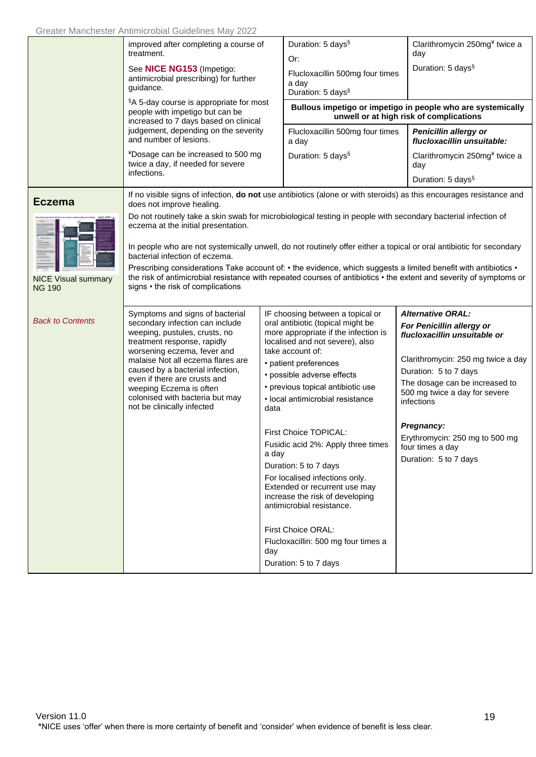<span id="page-18-0"></span>

|                                             | improved after completing a course of<br>treatment.                                                                                                                                                                                                                                                                                                                    |                      | Duration: 5 days <sup>§</sup><br>Or:                                                                                                                                                                                                                                                                                                                                                                                                                                                                                                                                                                                  |  | Clarithromycin 250mg <sup>¥</sup> twice a<br>day                                                                                                                                                                                                                                                                                   |
|---------------------------------------------|------------------------------------------------------------------------------------------------------------------------------------------------------------------------------------------------------------------------------------------------------------------------------------------------------------------------------------------------------------------------|----------------------|-----------------------------------------------------------------------------------------------------------------------------------------------------------------------------------------------------------------------------------------------------------------------------------------------------------------------------------------------------------------------------------------------------------------------------------------------------------------------------------------------------------------------------------------------------------------------------------------------------------------------|--|------------------------------------------------------------------------------------------------------------------------------------------------------------------------------------------------------------------------------------------------------------------------------------------------------------------------------------|
|                                             | See NICE NG153 (Impetigo:<br>antimicrobial prescribing) for further<br>guidance.                                                                                                                                                                                                                                                                                       |                      | Flucloxacillin 500mg four times<br>a day<br>Duration: 5 days <sup>§</sup>                                                                                                                                                                                                                                                                                                                                                                                                                                                                                                                                             |  | Duration: 5 days <sup>§</sup>                                                                                                                                                                                                                                                                                                      |
|                                             | §A 5-day course is appropriate for most<br>people with impetigo but can be<br>increased to 7 days based on clinical                                                                                                                                                                                                                                                    |                      |                                                                                                                                                                                                                                                                                                                                                                                                                                                                                                                                                                                                                       |  | Bullous impetigo or impetigo in people who are systemically<br>unwell or at high risk of complications                                                                                                                                                                                                                             |
|                                             | judgement, depending on the severity<br>and number of lesions.                                                                                                                                                                                                                                                                                                         |                      | Flucloxacillin 500mg four times<br>a day                                                                                                                                                                                                                                                                                                                                                                                                                                                                                                                                                                              |  | Penicillin allergy or<br>flucloxacillin unsuitable:                                                                                                                                                                                                                                                                                |
|                                             | *Dosage can be increased to 500 mg<br>twice a day, if needed for severe<br>infections.                                                                                                                                                                                                                                                                                 |                      | Duration: 5 days <sup>§</sup>                                                                                                                                                                                                                                                                                                                                                                                                                                                                                                                                                                                         |  | Clarithromycin 250mg <sup>¥</sup> twice a<br>day<br>Duration: 5 days <sup>§</sup>                                                                                                                                                                                                                                                  |
| <b>Eczema</b>                               | If no visible signs of infection, do not use antibiotics (alone or with steroids) as this encourages resistance and<br>does not improve healing.                                                                                                                                                                                                                       |                      |                                                                                                                                                                                                                                                                                                                                                                                                                                                                                                                                                                                                                       |  |                                                                                                                                                                                                                                                                                                                                    |
|                                             | Do not routinely take a skin swab for microbiological testing in people with secondary bacterial infection of<br>eczema at the initial presentation.                                                                                                                                                                                                                   |                      |                                                                                                                                                                                                                                                                                                                                                                                                                                                                                                                                                                                                                       |  |                                                                                                                                                                                                                                                                                                                                    |
|                                             | In people who are not systemically unwell, do not routinely offer either a topical or oral antibiotic for secondary<br>bacterial infection of eczema.                                                                                                                                                                                                                  |                      |                                                                                                                                                                                                                                                                                                                                                                                                                                                                                                                                                                                                                       |  |                                                                                                                                                                                                                                                                                                                                    |
| <b>NICE Visual summary</b><br><b>NG 190</b> | Prescribing considerations Take account of: • the evidence, which suggests a limited benefit with antibiotics •<br>the risk of antimicrobial resistance with repeated courses of antibiotics • the extent and severity of symptoms or<br>signs • the risk of complications                                                                                             |                      |                                                                                                                                                                                                                                                                                                                                                                                                                                                                                                                                                                                                                       |  |                                                                                                                                                                                                                                                                                                                                    |
| <b>Back to Contents</b>                     | Symptoms and signs of bacterial<br>secondary infection can include<br>weeping, pustules, crusts, no<br>treatment response, rapidly<br>worsening eczema, fever and<br>malaise Not all eczema flares are<br>caused by a bacterial infection,<br>even if there are crusts and<br>weeping Eczema is often<br>colonised with bacteria but may<br>not be clinically infected | data<br>a day<br>day | IF choosing between a topical or<br>oral antibiotic (topical might be<br>more appropriate if the infection is<br>localised and not severe), also<br>take account of:<br>• patient preferences<br>• possible adverse effects<br>• previous topical antibiotic use<br>· local antimicrobial resistance<br>First Choice TOPICAL:<br>Fusidic acid 2%: Apply three times<br>Duration: 5 to 7 days<br>For localised infections only.<br>Extended or recurrent use may<br>increase the risk of developing<br>antimicrobial resistance.<br>First Choice ORAL:<br>Flucloxacillin: 500 mg four times a<br>Duration: 5 to 7 days |  | <b>Alternative ORAL:</b><br>For Penicillin allergy or<br>flucloxacillin unsuitable or<br>Clarithromycin: 250 mg twice a day<br>Duration: 5 to 7 days<br>The dosage can be increased to<br>500 mg twice a day for severe<br>infections<br>Pregnancy:<br>Erythromycin: 250 mg to 500 mg<br>four times a day<br>Duration: 5 to 7 days |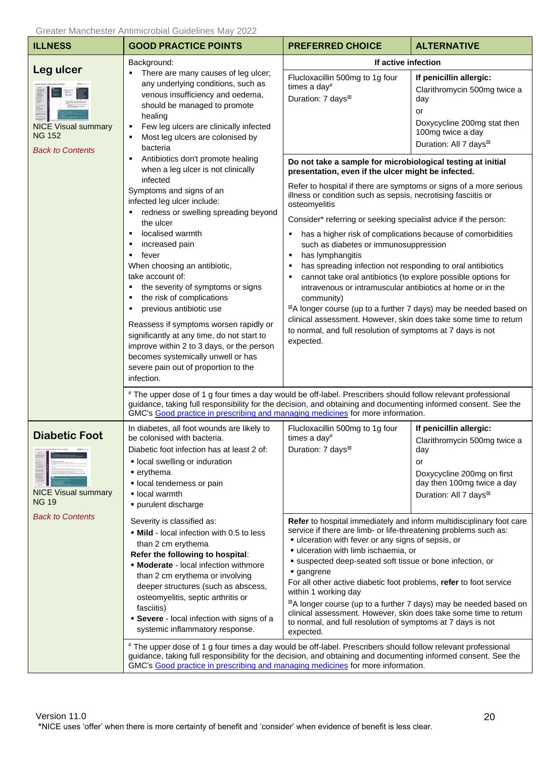<span id="page-19-0"></span>

| <b>ILLNESS</b>                                                         | <b>GOOD PRACTICE POINTS</b>                                                                                                                                                                                                                                                                                                                                                                                                                                                                                                                                                                                                                                                                                                                                                                                                                                                                                         | <b>PREFERRED CHOICE</b>                                                                                                                                                                                                                                                                                                                                                                                                                                                                                                                                                                                                                                                                                                                                                                                                                                                                                                                                                                                                                | <b>ALTERNATIVE</b>                                                                                                                                                    |
|------------------------------------------------------------------------|---------------------------------------------------------------------------------------------------------------------------------------------------------------------------------------------------------------------------------------------------------------------------------------------------------------------------------------------------------------------------------------------------------------------------------------------------------------------------------------------------------------------------------------------------------------------------------------------------------------------------------------------------------------------------------------------------------------------------------------------------------------------------------------------------------------------------------------------------------------------------------------------------------------------|----------------------------------------------------------------------------------------------------------------------------------------------------------------------------------------------------------------------------------------------------------------------------------------------------------------------------------------------------------------------------------------------------------------------------------------------------------------------------------------------------------------------------------------------------------------------------------------------------------------------------------------------------------------------------------------------------------------------------------------------------------------------------------------------------------------------------------------------------------------------------------------------------------------------------------------------------------------------------------------------------------------------------------------|-----------------------------------------------------------------------------------------------------------------------------------------------------------------------|
| Leg ulcer                                                              | Background:                                                                                                                                                                                                                                                                                                                                                                                                                                                                                                                                                                                                                                                                                                                                                                                                                                                                                                         | If active infection                                                                                                                                                                                                                                                                                                                                                                                                                                                                                                                                                                                                                                                                                                                                                                                                                                                                                                                                                                                                                    |                                                                                                                                                                       |
| <b>NICE Visual summary</b><br><b>NG 152</b><br><b>Back to Contents</b> | There are many causes of leg ulcer;<br>any underlying conditions, such as<br>venous insufficiency and oedema,<br>should be managed to promote<br>healing<br>Few leg ulcers are clinically infected<br>٠<br>Most leg ulcers are colonised by<br>bacteria<br>Antibiotics don't promote healing<br>when a leg ulcer is not clinically<br>infected<br>Symptoms and signs of an<br>infected leg ulcer include:<br>redness or swelling spreading beyond<br>the ulcer<br>localised warmth<br>increased pain<br>fever<br>٠<br>When choosing an antibiotic,<br>take account of:<br>the severity of symptoms or signs<br>٠<br>the risk of complications<br>٠<br>previous antibiotic use<br>٠<br>Reassess if symptoms worsen rapidly or<br>significantly at any time, do not start to<br>improve within 2 to 3 days, or the person<br>becomes systemically unwell or has<br>severe pain out of proportion to the<br>infection. | Flucloxacillin 500mg to 1g four<br>times a day#<br>Duration: 7 days <sup>⊠</sup>                                                                                                                                                                                                                                                                                                                                                                                                                                                                                                                                                                                                                                                                                                                                                                                                                                                                                                                                                       | If penicillin allergic:<br>Clarithromycin 500mg twice a<br>day<br>or<br>Doxycycline 200mg stat then<br>100mg twice a day<br>Duration: All 7 days <sup>⊠</sup>         |
|                                                                        |                                                                                                                                                                                                                                                                                                                                                                                                                                                                                                                                                                                                                                                                                                                                                                                                                                                                                                                     | Do not take a sample for microbiological testing at initial<br>presentation, even if the ulcer might be infected.<br>Refer to hospital if there are symptoms or signs of a more serious<br>illness or condition such as sepsis, necrotising fasciitis or<br>osteomyelitis<br>Consider* referring or seeking specialist advice if the person:<br>has a higher risk of complications because of comorbidities<br>٠<br>such as diabetes or immunosuppression<br>has lymphangitis<br>٠<br>has spreading infection not responding to oral antibiotics<br>cannot take oral antibiotics (to explore possible options for<br>п<br>intravenous or intramuscular antibiotics at home or in the<br>community)<br>⊠A longer course (up to a further 7 days) may be needed based on<br>clinical assessment. However, skin does take some time to return<br>to normal, and full resolution of symptoms at 7 days is not<br>expected.<br># The upper dose of 1 g four times a day would be off-label. Prescribers should follow relevant professional |                                                                                                                                                                       |
|                                                                        | guidance, taking full responsibility for the decision, and obtaining and documenting informed consent. See the<br>GMC's Good practice in prescribing and managing medicines for more information.                                                                                                                                                                                                                                                                                                                                                                                                                                                                                                                                                                                                                                                                                                                   |                                                                                                                                                                                                                                                                                                                                                                                                                                                                                                                                                                                                                                                                                                                                                                                                                                                                                                                                                                                                                                        |                                                                                                                                                                       |
| <b>Diabetic Foot</b><br><b>NICE Visual summary</b><br><b>NG 19</b>     | In diabetes, all foot wounds are likely to<br>be colonised with bacteria.<br>Diabetic foot infection has at least 2 of:<br>· local swelling or induration<br>$\blacksquare$ erythema<br>· local tenderness or pain<br>local warmth<br>purulent discharge                                                                                                                                                                                                                                                                                                                                                                                                                                                                                                                                                                                                                                                            | Flucloxacillin 500mg to 1g four<br>times a day#<br>Duration: 7 days <sup>⊠</sup>                                                                                                                                                                                                                                                                                                                                                                                                                                                                                                                                                                                                                                                                                                                                                                                                                                                                                                                                                       | If penicillin allergic:<br>Clarithromycin 500mg twice a<br>day<br>or<br>Doxycycline 200mg on first<br>day then 100mg twice a day<br>Duration: All 7 days <sup>⊠</sup> |
| <b>Back to Contents</b>                                                | Severity is classified as:<br>• Mild - local infection with 0.5 to less<br>than 2 cm erythema<br>Refer the following to hospital:<br>• Moderate - local infection withmore<br>than 2 cm erythema or involving<br>deeper structures (such as abscess,<br>osteomyelitis, septic arthritis or<br>fasciitis)<br><b>Severe</b> - local infection with signs of a<br>systemic inflammatory response.                                                                                                                                                                                                                                                                                                                                                                                                                                                                                                                      | Refer to hospital immediately and inform multidisciplinary foot care<br>service if there are limb- or life-threatening problems such as:<br>• ulceration with fever or any signs of sepsis, or<br>ulceration with limb ischaemia, or<br>suspected deep-seated soft tissue or bone infection, or<br>gangrene<br>For all other active diabetic foot problems, refer to foot service<br>within 1 working day<br>⊠A longer course (up to a further 7 days) may be needed based on<br>clinical assessment. However, skin does take some time to return<br>to normal, and full resolution of symptoms at 7 days is not<br>expected.<br># The upper dose of 1 g four times a day would be off-label. Prescribers should follow relevant professional<br>guidance, taking full responsibility for the decision, and obtaining and documenting informed consent. See the                                                                                                                                                                        |                                                                                                                                                                       |
|                                                                        | GMC's Good practice in prescribing and managing medicines for more information.                                                                                                                                                                                                                                                                                                                                                                                                                                                                                                                                                                                                                                                                                                                                                                                                                                     |                                                                                                                                                                                                                                                                                                                                                                                                                                                                                                                                                                                                                                                                                                                                                                                                                                                                                                                                                                                                                                        |                                                                                                                                                                       |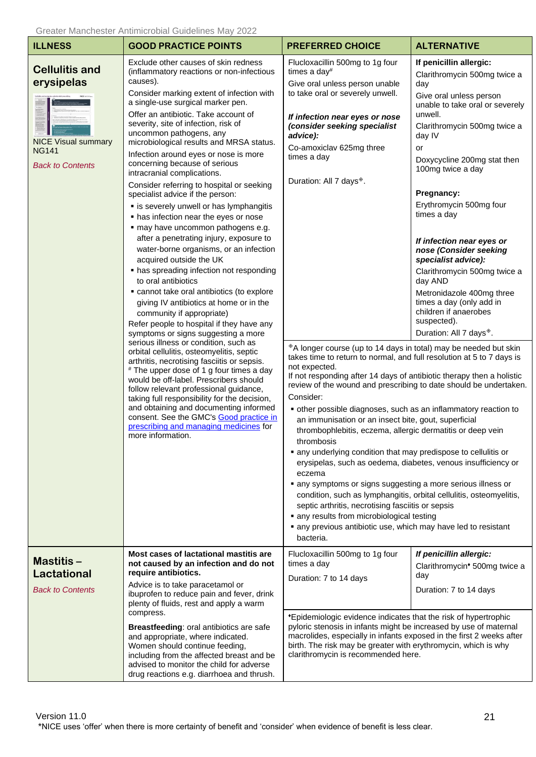<span id="page-20-1"></span><span id="page-20-0"></span>

| <b>ILLNESS</b>                                                                                               | Greater Manchester Antimicropial Guidelines May 2022<br><b>GOOD PRACTICE POINTS</b>                                                                                                                                                                                                                                                                                                                                                                                                                                                                                                                                                                                                                                                                                                                                                                                                                                                                                                                                                                                                                                                                                                                                                                                                                                                                                                                                                                                                                                               | <b>PREFERRED CHOICE</b>                                                                                                                                                                                                                                                                                                                                                                                                                                                                                                                                                                                                                                                                                                                                                                                                                                                                                                                                                                                                                                                                                                                                                                                                                                                                      | <b>ALTERNATIVE</b>                                                                                                                                                                                                                                                                                                                                                                                                                                                                                                                                                   |
|--------------------------------------------------------------------------------------------------------------|-----------------------------------------------------------------------------------------------------------------------------------------------------------------------------------------------------------------------------------------------------------------------------------------------------------------------------------------------------------------------------------------------------------------------------------------------------------------------------------------------------------------------------------------------------------------------------------------------------------------------------------------------------------------------------------------------------------------------------------------------------------------------------------------------------------------------------------------------------------------------------------------------------------------------------------------------------------------------------------------------------------------------------------------------------------------------------------------------------------------------------------------------------------------------------------------------------------------------------------------------------------------------------------------------------------------------------------------------------------------------------------------------------------------------------------------------------------------------------------------------------------------------------------|----------------------------------------------------------------------------------------------------------------------------------------------------------------------------------------------------------------------------------------------------------------------------------------------------------------------------------------------------------------------------------------------------------------------------------------------------------------------------------------------------------------------------------------------------------------------------------------------------------------------------------------------------------------------------------------------------------------------------------------------------------------------------------------------------------------------------------------------------------------------------------------------------------------------------------------------------------------------------------------------------------------------------------------------------------------------------------------------------------------------------------------------------------------------------------------------------------------------------------------------------------------------------------------------|----------------------------------------------------------------------------------------------------------------------------------------------------------------------------------------------------------------------------------------------------------------------------------------------------------------------------------------------------------------------------------------------------------------------------------------------------------------------------------------------------------------------------------------------------------------------|
| <b>Cellulitis and</b><br>erysipelas<br><b>NICE Visual summary</b><br><b>NG141</b><br><b>Back to Contents</b> | Exclude other causes of skin redness<br>(inflammatory reactions or non-infectious<br>causes).<br>Consider marking extent of infection with<br>a single-use surgical marker pen.<br>Offer an antibiotic. Take account of<br>severity, site of infection, risk of<br>uncommon pathogens, any<br>microbiological results and MRSA status.<br>Infection around eyes or nose is more<br>concerning because of serious<br>intracranial complications.<br>Consider referring to hospital or seeking<br>specialist advice if the person:<br>" is severely unwell or has lymphangitis<br>• has infection near the eyes or nose<br>· may have uncommon pathogens e.g.<br>after a penetrating injury, exposure to<br>water-borne organisms, or an infection<br>acquired outside the UK<br>• has spreading infection not responding<br>to oral antibiotics<br>• cannot take oral antibiotics (to explore<br>giving IV antibiotics at home or in the<br>community if appropriate)<br>Refer people to hospital if they have any<br>symptoms or signs suggesting a more<br>serious illness or condition, such as<br>orbital cellulitis, osteomyelitis, septic<br>arthritis, necrotising fasciitis or sepsis.<br># The upper dose of 1 g four times a day<br>would be off-label. Prescribers should<br>follow relevant professional guidance,<br>taking full responsibility for the decision,<br>and obtaining and documenting informed<br>consent. See the GMC's Good practice in<br>prescribing and managing medicines for<br>more information. | Flucloxacillin 500mg to 1g four<br>times a day#<br>Give oral unless person unable<br>to take oral or severely unwell.<br>If infection near eyes or nose<br>(consider seeking specialist<br>advice):<br>Co-amoxiclav 625mg three<br>times a day<br>Duration: All 7 days <sup>®</sup> .<br>*A longer course (up to 14 days in total) may be needed but skin<br>takes time to return to normal, and full resolution at 5 to 7 days is<br>not expected.<br>If not responding after 14 days of antibiotic therapy then a holistic<br>review of the wound and prescribing to date should be undertaken.<br>Consider:<br>• other possible diagnoses, such as an inflammatory reaction to<br>an immunisation or an insect bite, gout, superficial<br>thrombophlebitis, eczema, allergic dermatitis or deep vein<br>thrombosis<br>• any underlying condition that may predispose to cellulitis or<br>erysipelas, such as oedema, diabetes, venous insufficiency or<br>eczema<br>• any symptoms or signs suggesting a more serious illness or<br>condition, such as lymphangitis, orbital cellulitis, osteomyelitis,<br>septic arthritis, necrotising fasciitis or sepsis<br>• any results from microbiological testing<br>• any previous antibiotic use, which may have led to resistant<br>bacteria. | If penicillin allergic:<br>Clarithromycin 500mg twice a<br>day<br>Give oral unless person<br>unable to take oral or severely<br>unwell.<br>Clarithromycin 500mg twice a<br>day IV<br>or<br>Doxycycline 200mg stat then<br>100mg twice a day<br>Pregnancy:<br>Erythromycin 500mg four<br>times a day<br>If infection near eyes or<br>nose (Consider seeking<br>specialist advice):<br>Clarithromycin 500mg twice a<br>day AND<br>Metronidazole 400mg three<br>times a day (only add in<br>children if anaerobes<br>suspected).<br>Duration: All 7 days <sup>®</sup> . |
| Mastitis-<br><b>Lactational</b><br><b>Back to Contents</b>                                                   | Most cases of lactational mastitis are<br>not caused by an infection and do not<br>require antibiotics.<br>Advice is to take paracetamol or<br>ibuprofen to reduce pain and fever, drink<br>plenty of fluids, rest and apply a warm<br>compress.<br>Breastfeeding: oral antibiotics are safe<br>and appropriate, where indicated.<br>Women should continue feeding,<br>including from the affected breast and be<br>advised to monitor the child for adverse<br>drug reactions e.g. diarrhoea and thrush.                                                                                                                                                                                                                                                                                                                                                                                                                                                                                                                                                                                                                                                                                                                                                                                                                                                                                                                                                                                                                         | Flucloxacillin 500mg to 1g four<br>times a day<br>Duration: 7 to 14 days<br>*Epidemiologic evidence indicates that the risk of hypertrophic<br>pyloric stenosis in infants might be increased by use of maternal<br>macrolides, especially in infants exposed in the first 2 weeks after<br>birth. The risk may be greater with erythromycin, which is why<br>clarithromycin is recommended here.                                                                                                                                                                                                                                                                                                                                                                                                                                                                                                                                                                                                                                                                                                                                                                                                                                                                                            | If penicillin allergic:<br>Clarithromycin <sup>+</sup> 500mg twice a<br>day<br>Duration: 7 to 14 days                                                                                                                                                                                                                                                                                                                                                                                                                                                                |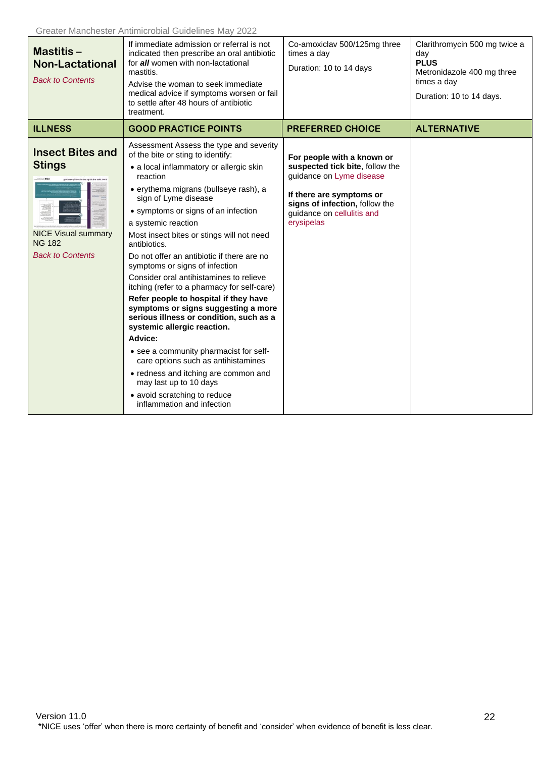<span id="page-21-0"></span>

| Mastitis-<br><b>Non-Lactational</b><br><b>Back to Contents</b>                                                     | If immediate admission or referral is not<br>indicated then prescribe an oral antibiotic<br>for all women with non-lactational<br>mastitis.<br>Advise the woman to seek immediate<br>medical advice if symptoms worsen or fail<br>to settle after 48 hours of antibiotic<br>treatment.                                                                                                                                                                                                                                                                                                                                                                                                                                                                                                                                                                                                          | Co-amoxiclav 500/125mg three<br>times a day<br>Duration: 10 to 14 days                                                                                                                              | Clarithromycin 500 mg twice a<br>day<br><b>PLUS</b><br>Metronidazole 400 mg three<br>times a day<br>Duration: 10 to 14 days. |
|--------------------------------------------------------------------------------------------------------------------|-------------------------------------------------------------------------------------------------------------------------------------------------------------------------------------------------------------------------------------------------------------------------------------------------------------------------------------------------------------------------------------------------------------------------------------------------------------------------------------------------------------------------------------------------------------------------------------------------------------------------------------------------------------------------------------------------------------------------------------------------------------------------------------------------------------------------------------------------------------------------------------------------|-----------------------------------------------------------------------------------------------------------------------------------------------------------------------------------------------------|------------------------------------------------------------------------------------------------------------------------------|
| <b>ILLNESS</b>                                                                                                     | <b>GOOD PRACTICE POINTS</b>                                                                                                                                                                                                                                                                                                                                                                                                                                                                                                                                                                                                                                                                                                                                                                                                                                                                     | <b>PREFERRED CHOICE</b>                                                                                                                                                                             | <b>ALTERNATIVE</b>                                                                                                           |
| <b>Insect Bites and</b><br><b>Stings</b><br><b>NICE Visual summary</b><br><b>NG 182</b><br><b>Back to Contents</b> | Assessment Assess the type and severity<br>of the bite or sting to identify:<br>• a local inflammatory or allergic skin<br>reaction<br>· erythema migrans (bullseye rash), a<br>sign of Lyme disease<br>• symptoms or signs of an infection<br>a systemic reaction<br>Most insect bites or stings will not need<br>antibiotics.<br>Do not offer an antibiotic if there are no<br>symptoms or signs of infection<br>Consider oral antihistamines to relieve<br>itching (refer to a pharmacy for self-care)<br>Refer people to hospital if they have<br>symptoms or signs suggesting a more<br>serious illness or condition, such as a<br>systemic allergic reaction.<br>Advice:<br>• see a community pharmacist for self-<br>care options such as antihistamines<br>• redness and itching are common and<br>may last up to 10 days<br>• avoid scratching to reduce<br>inflammation and infection | For people with a known or<br>suspected tick bite, follow the<br>guidance on Lyme disease<br>If there are symptoms or<br>signs of infection, follow the<br>guidance on cellulitis and<br>erysipelas |                                                                                                                              |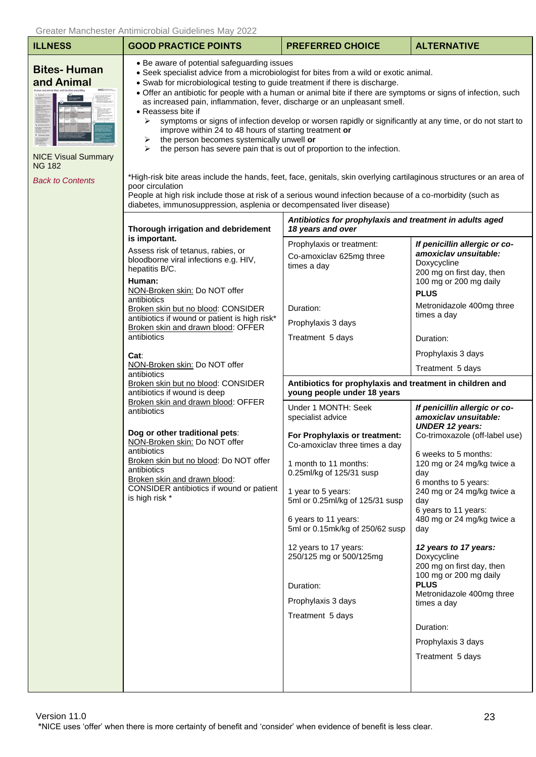| <b>ILLNESS</b>                                                                                                                                      | <b>GOOD PRACTICE POINTS</b>                                                                                                                                                                                                                                                                                                                                                                                                                                                                                                                                                                                                                                                                                                                                                                                                                                                                                                                                                                                                                                                               | <b>PREFERRED CHOICE</b>                                                                                                                        | <b>ALTERNATIVE</b>                                                                                                                                                                      |  |  |
|-----------------------------------------------------------------------------------------------------------------------------------------------------|-------------------------------------------------------------------------------------------------------------------------------------------------------------------------------------------------------------------------------------------------------------------------------------------------------------------------------------------------------------------------------------------------------------------------------------------------------------------------------------------------------------------------------------------------------------------------------------------------------------------------------------------------------------------------------------------------------------------------------------------------------------------------------------------------------------------------------------------------------------------------------------------------------------------------------------------------------------------------------------------------------------------------------------------------------------------------------------------|------------------------------------------------------------------------------------------------------------------------------------------------|-----------------------------------------------------------------------------------------------------------------------------------------------------------------------------------------|--|--|
| <b>Bites-Human</b><br>and Animal<br><b>NICE Visual Summary</b><br><b>NG 182</b><br><b>Back to Contents</b>                                          | • Be aware of potential safeguarding issues<br>• Seek specialist advice from a microbiologist for bites from a wild or exotic animal.<br>• Swab for microbiological testing to guide treatment if there is discharge.<br>• Offer an antibiotic for people with a human or animal bite if there are symptoms or signs of infection, such<br>as increased pain, inflammation, fever, discharge or an unpleasant smell.<br>• Reassess bite if<br>symptoms or signs of infection develop or worsen rapidly or significantly at any time, or do not start to<br>➤<br>improve within 24 to 48 hours of starting treatment or<br>the person becomes systemically unwell or<br>➤<br>the person has severe pain that is out of proportion to the infection.<br>⋗<br>*High-risk bite areas include the hands, feet, face, genitals, skin overlying cartilaginous structures or an area of<br>poor circulation<br>People at high risk include those at risk of a serious wound infection because of a co-morbidity (such as<br>diabetes, immunosuppression, asplenia or decompensated liver disease) |                                                                                                                                                |                                                                                                                                                                                         |  |  |
|                                                                                                                                                     | Thorough irrigation and debridement                                                                                                                                                                                                                                                                                                                                                                                                                                                                                                                                                                                                                                                                                                                                                                                                                                                                                                                                                                                                                                                       | Antibiotics for prophylaxis and treatment in adults aged<br>18 years and over                                                                  |                                                                                                                                                                                         |  |  |
|                                                                                                                                                     | is important.<br>Assess risk of tetanus, rabies, or<br>bloodborne viral infections e.g. HIV,<br>hepatitis B/C.<br>Human:<br>NON-Broken skin: Do NOT offer<br>antibiotics<br>Broken skin but no blood: CONSIDER<br>antibiotics if wound or patient is high risk*<br>Broken skin and drawn blood: OFFER<br>antibiotics<br>Cat:                                                                                                                                                                                                                                                                                                                                                                                                                                                                                                                                                                                                                                                                                                                                                              | Prophylaxis or treatment:<br>Co-amoxiclav 625mg three<br>times a day<br>Duration:                                                              | If penicillin allergic or co-<br>amoxiclav unsuitable:<br>Doxycycline<br>200 mg on first day, then<br>100 mg or 200 mg daily<br><b>PLUS</b><br>Metronidazole 400mg three<br>times a day |  |  |
|                                                                                                                                                     |                                                                                                                                                                                                                                                                                                                                                                                                                                                                                                                                                                                                                                                                                                                                                                                                                                                                                                                                                                                                                                                                                           | Prophylaxis 3 days<br>Treatment 5 days                                                                                                         | Duration:                                                                                                                                                                               |  |  |
|                                                                                                                                                     |                                                                                                                                                                                                                                                                                                                                                                                                                                                                                                                                                                                                                                                                                                                                                                                                                                                                                                                                                                                                                                                                                           |                                                                                                                                                | Prophylaxis 3 days                                                                                                                                                                      |  |  |
|                                                                                                                                                     | NON-Broken skin: Do NOT offer<br>antibiotics                                                                                                                                                                                                                                                                                                                                                                                                                                                                                                                                                                                                                                                                                                                                                                                                                                                                                                                                                                                                                                              |                                                                                                                                                | Treatment 5 days                                                                                                                                                                        |  |  |
|                                                                                                                                                     | Broken skin but no blood: CONSIDER<br>antibiotics if wound is deep                                                                                                                                                                                                                                                                                                                                                                                                                                                                                                                                                                                                                                                                                                                                                                                                                                                                                                                                                                                                                        | Antibiotics for prophylaxis and treatment in children and<br>young people under 18 years                                                       |                                                                                                                                                                                         |  |  |
| Broken skin and drawn blood: OFFER<br>antibiotics                                                                                                   | Under 1 MONTH: Seek<br>specialist advice                                                                                                                                                                                                                                                                                                                                                                                                                                                                                                                                                                                                                                                                                                                                                                                                                                                                                                                                                                                                                                                  | If penicillin allergic or co-<br>amoxiclav unsuitable:<br><b>UNDER 12 years:</b>                                                               |                                                                                                                                                                                         |  |  |
|                                                                                                                                                     | Dog or other traditional pets:<br>NON-Broken skin: Do NOT offer<br>antibiotics                                                                                                                                                                                                                                                                                                                                                                                                                                                                                                                                                                                                                                                                                                                                                                                                                                                                                                                                                                                                            | For Prophylaxis or treatment:<br>Co-amoxiclav three times a day                                                                                | Co-trimoxazole (off-label use)                                                                                                                                                          |  |  |
| Broken skin but no blood: Do NOT offer<br>antibiotics<br>Broken skin and drawn blood:<br>CONSIDER antibiotics if wound or patient<br>is high risk * | 1 month to 11 months:<br>0.25ml/kg of 125/31 susp<br>1 year to 5 years:<br>5ml or 0.25ml/kg of 125/31 susp                                                                                                                                                                                                                                                                                                                                                                                                                                                                                                                                                                                                                                                                                                                                                                                                                                                                                                                                                                                | 6 weeks to 5 months:<br>120 mg or 24 mg/kg twice a<br>day<br>6 months to 5 years:<br>240 mg or 24 mg/kg twice a<br>day<br>6 years to 11 years: |                                                                                                                                                                                         |  |  |
|                                                                                                                                                     |                                                                                                                                                                                                                                                                                                                                                                                                                                                                                                                                                                                                                                                                                                                                                                                                                                                                                                                                                                                                                                                                                           | 6 years to 11 years:<br>5ml or 0.15mk/kg of 250/62 susp                                                                                        | 480 mg or 24 mg/kg twice a<br>day                                                                                                                                                       |  |  |
|                                                                                                                                                     |                                                                                                                                                                                                                                                                                                                                                                                                                                                                                                                                                                                                                                                                                                                                                                                                                                                                                                                                                                                                                                                                                           | 12 years to 17 years:<br>250/125 mg or 500/125mg<br>Duration:                                                                                  | 12 years to 17 years:<br>Doxycycline<br>200 mg on first day, then<br>100 mg or 200 mg daily<br><b>PLUS</b>                                                                              |  |  |
|                                                                                                                                                     |                                                                                                                                                                                                                                                                                                                                                                                                                                                                                                                                                                                                                                                                                                                                                                                                                                                                                                                                                                                                                                                                                           | Prophylaxis 3 days                                                                                                                             | Metronidazole 400mg three<br>times a day                                                                                                                                                |  |  |
|                                                                                                                                                     |                                                                                                                                                                                                                                                                                                                                                                                                                                                                                                                                                                                                                                                                                                                                                                                                                                                                                                                                                                                                                                                                                           | Treatment 5 days                                                                                                                               |                                                                                                                                                                                         |  |  |
|                                                                                                                                                     |                                                                                                                                                                                                                                                                                                                                                                                                                                                                                                                                                                                                                                                                                                                                                                                                                                                                                                                                                                                                                                                                                           |                                                                                                                                                | Duration:                                                                                                                                                                               |  |  |
|                                                                                                                                                     |                                                                                                                                                                                                                                                                                                                                                                                                                                                                                                                                                                                                                                                                                                                                                                                                                                                                                                                                                                                                                                                                                           |                                                                                                                                                | Prophylaxis 3 days                                                                                                                                                                      |  |  |
|                                                                                                                                                     |                                                                                                                                                                                                                                                                                                                                                                                                                                                                                                                                                                                                                                                                                                                                                                                                                                                                                                                                                                                                                                                                                           |                                                                                                                                                | Treatment 5 days                                                                                                                                                                        |  |  |
|                                                                                                                                                     |                                                                                                                                                                                                                                                                                                                                                                                                                                                                                                                                                                                                                                                                                                                                                                                                                                                                                                                                                                                                                                                                                           |                                                                                                                                                |                                                                                                                                                                                         |  |  |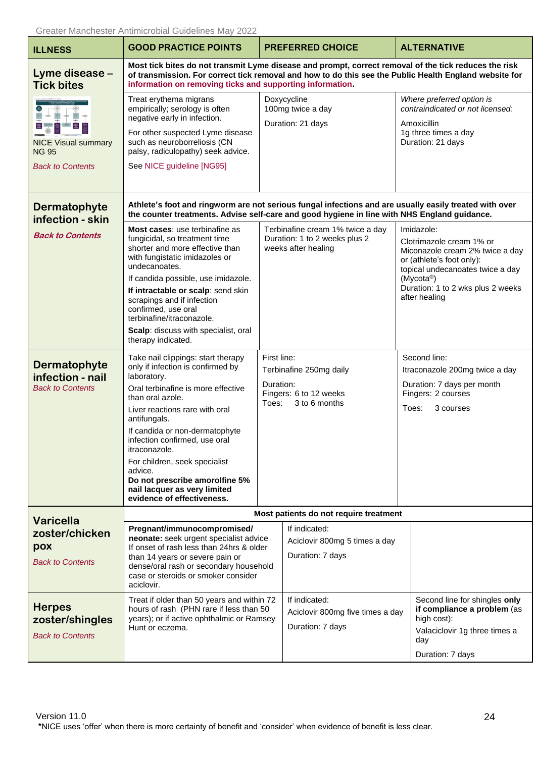<span id="page-23-1"></span><span id="page-23-0"></span>

| <b>ILLNESS</b>                                                                         | Greater Manchester Antimicropial Guidelines May 2022<br><b>GOOD PRACTICE POINTS</b>                                                                                                                                                                                                                                                                                                                                                |                                                                                                         | <b>PREFERRED CHOICE</b>                                                                  |                                                                                                                          | <b>ALTERNATIVE</b>                                                                                                                                                                               |
|----------------------------------------------------------------------------------------|------------------------------------------------------------------------------------------------------------------------------------------------------------------------------------------------------------------------------------------------------------------------------------------------------------------------------------------------------------------------------------------------------------------------------------|---------------------------------------------------------------------------------------------------------|------------------------------------------------------------------------------------------|--------------------------------------------------------------------------------------------------------------------------|--------------------------------------------------------------------------------------------------------------------------------------------------------------------------------------------------|
| Lyme disease -<br><b>Tick bites</b>                                                    | Most tick bites do not transmit Lyme disease and prompt, correct removal of the tick reduces the risk<br>of transmission. For correct tick removal and how to do this see the Public Health England website for<br>information on removing ticks and supporting information.                                                                                                                                                       |                                                                                                         |                                                                                          |                                                                                                                          |                                                                                                                                                                                                  |
| $\frac{4}{3}$<br><b>NICE Visual summary</b><br><b>NG 95</b><br><b>Back to Contents</b> | Treat erythema migrans<br>empirically; serology is often<br>negative early in infection.<br>For other suspected Lyme disease<br>such as neuroborreliosis (CN<br>palsy, radiculopathy) seek advice.<br>See NICE guideline [NG95]                                                                                                                                                                                                    |                                                                                                         | Doxycycline<br>100mg twice a day<br>Duration: 21 days                                    |                                                                                                                          | Where preferred option is<br>contraindicated or not licensed:<br>Amoxicillin<br>1g three times a day<br>Duration: 21 days                                                                        |
| Dermatophyte<br>infection - skin                                                       | Athlete's foot and ringworm are not serious fungal infections and are usually easily treated with over<br>the counter treatments. Advise self-care and good hygiene in line with NHS England guidance.                                                                                                                                                                                                                             |                                                                                                         |                                                                                          |                                                                                                                          |                                                                                                                                                                                                  |
| <b>Back to Contents</b>                                                                | Most cases: use terbinafine as<br>fungicidal, so treatment time<br>shorter and more effective than<br>with fungistatic imidazoles or<br>undecanoates.<br>If candida possible, use imidazole.<br>If intractable or scalp: send skin<br>scrapings and if infection<br>confirmed, use oral<br>terbinafine/itraconazole.<br>Scalp: discuss with specialist, oral<br>therapy indicated.                                                 |                                                                                                         | Terbinafine cream 1% twice a day<br>Duration: 1 to 2 weeks plus 2<br>weeks after healing | (Mycota <sup>®</sup> )                                                                                                   | Imidazole:<br>Clotrimazole cream 1% or<br>Miconazole cream 2% twice a day<br>or (athlete's foot only):<br>topical undecanoates twice a day<br>Duration: 1 to 2 wks plus 2 weeks<br>after healing |
| Dermatophyte<br>infection - nail<br><b>Back to Contents</b>                            | Take nail clippings: start therapy<br>only if infection is confirmed by<br>laboratory.<br>Oral terbinafine is more effective<br>than oral azole.<br>Liver reactions rare with oral<br>antifungals.<br>If candida or non-dermatophyte<br>infection confirmed, use oral<br>itraconazole.<br>For children, seek specialist<br>advice.<br>Do not prescribe amorolfine 5%<br>nail lacquer as very limited<br>evidence of effectiveness. | First line:<br>Terbinafine 250mg daily<br>Duration:<br>Fingers: 6 to 12 weeks<br>Toes:<br>3 to 6 months |                                                                                          | Second line:<br>Itraconazole 200mg twice a day<br>Duration: 7 days per month<br>Fingers: 2 courses<br>Toes:<br>3 courses |                                                                                                                                                                                                  |
| <b>Varicella</b>                                                                       | Most patients do not require treatment                                                                                                                                                                                                                                                                                                                                                                                             |                                                                                                         |                                                                                          |                                                                                                                          |                                                                                                                                                                                                  |
| zoster/chicken<br>pox<br><b>Back to Contents</b>                                       | Pregnant/immunocompromised/<br>neonate: seek urgent specialist advice<br>If onset of rash less than 24hrs & older<br>than 14 years or severe pain or<br>dense/oral rash or secondary household<br>case or steroids or smoker consider<br>aciclovir.                                                                                                                                                                                |                                                                                                         | If indicated:<br>Aciclovir 800mg 5 times a day<br>Duration: 7 days                       |                                                                                                                          |                                                                                                                                                                                                  |
| <b>Herpes</b><br>zoster/shingles<br><b>Back to Contents</b>                            | Treat if older than 50 years and within 72<br>hours of rash (PHN rare if less than 50<br>years); or if active ophthalmic or Ramsey<br>Hunt or eczema.                                                                                                                                                                                                                                                                              |                                                                                                         | If indicated:<br>Aciclovir 800mg five times a day<br>Duration: 7 days                    |                                                                                                                          | Second line for shingles only<br>if compliance a problem (as<br>high cost):<br>Valaciclovir 1g three times a<br>day<br>Duration: 7 days                                                          |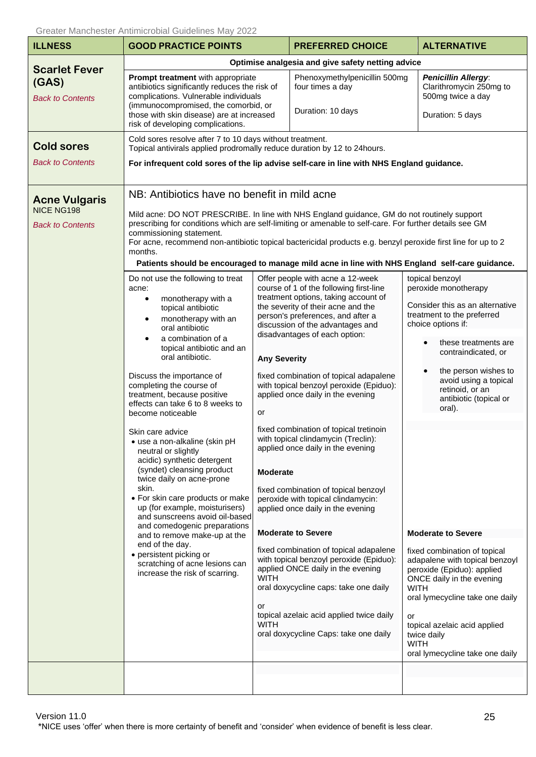<span id="page-24-0"></span>

| <b>ILLNESS</b>                                                                                                                                                                                                                                                                                                                                                                                                                                                                                                                                                                                                                                                                                                                                                                                                                                                           | OTEALER MANUFOLER ANTINNIUL UDIAL QUIUEINIES IVIAY ZUZZ<br><b>GOOD PRACTICE POINTS</b>                                                                                                                                                                                                                                                                                                                                                                          |                                                                                                                                                                                                                                                                                                                                                                                                                                                                                                                                                             | <b>PREFERRED CHOICE</b>                                                                                                                                                                                                                                                                                                                                      |                                                                                                                                                                                                                                                                                       | <b>ALTERNATIVE</b>                                                                                                                                                                                                                                                          |
|--------------------------------------------------------------------------------------------------------------------------------------------------------------------------------------------------------------------------------------------------------------------------------------------------------------------------------------------------------------------------------------------------------------------------------------------------------------------------------------------------------------------------------------------------------------------------------------------------------------------------------------------------------------------------------------------------------------------------------------------------------------------------------------------------------------------------------------------------------------------------|-----------------------------------------------------------------------------------------------------------------------------------------------------------------------------------------------------------------------------------------------------------------------------------------------------------------------------------------------------------------------------------------------------------------------------------------------------------------|-------------------------------------------------------------------------------------------------------------------------------------------------------------------------------------------------------------------------------------------------------------------------------------------------------------------------------------------------------------------------------------------------------------------------------------------------------------------------------------------------------------------------------------------------------------|--------------------------------------------------------------------------------------------------------------------------------------------------------------------------------------------------------------------------------------------------------------------------------------------------------------------------------------------------------------|---------------------------------------------------------------------------------------------------------------------------------------------------------------------------------------------------------------------------------------------------------------------------------------|-----------------------------------------------------------------------------------------------------------------------------------------------------------------------------------------------------------------------------------------------------------------------------|
|                                                                                                                                                                                                                                                                                                                                                                                                                                                                                                                                                                                                                                                                                                                                                                                                                                                                          |                                                                                                                                                                                                                                                                                                                                                                                                                                                                 |                                                                                                                                                                                                                                                                                                                                                                                                                                                                                                                                                             | Optimise analgesia and give safety netting advice                                                                                                                                                                                                                                                                                                            |                                                                                                                                                                                                                                                                                       |                                                                                                                                                                                                                                                                             |
| <b>Scarlet Fever</b><br>(GAS)<br><b>Back to Contents</b>                                                                                                                                                                                                                                                                                                                                                                                                                                                                                                                                                                                                                                                                                                                                                                                                                 | Prompt treatment with appropriate<br>antibiotics significantly reduces the risk of<br>complications. Vulnerable individuals<br>(immunocompromised, the comorbid, or<br>those with skin disease) are at increased<br>risk of developing complications.                                                                                                                                                                                                           |                                                                                                                                                                                                                                                                                                                                                                                                                                                                                                                                                             | Phenoxymethylpenicillin 500mg<br>four times a day<br>Duration: 10 days                                                                                                                                                                                                                                                                                       |                                                                                                                                                                                                                                                                                       | <b>Penicillin Allergy:</b><br>Clarithromycin 250mg to<br>500mg twice a day<br>Duration: 5 days                                                                                                                                                                              |
| <b>Cold sores</b><br><b>Back to Contents</b><br><b>Acne Vulgaris</b>                                                                                                                                                                                                                                                                                                                                                                                                                                                                                                                                                                                                                                                                                                                                                                                                     | Cold sores resolve after 7 to 10 days without treatment.<br>Topical antivirals applied prodromally reduce duration by 12 to 24 hours.<br>For infrequent cold sores of the lip advise self-care in line with NHS England guidance.<br>NB: Antibiotics have no benefit in mild acne                                                                                                                                                                               |                                                                                                                                                                                                                                                                                                                                                                                                                                                                                                                                                             |                                                                                                                                                                                                                                                                                                                                                              |                                                                                                                                                                                                                                                                                       |                                                                                                                                                                                                                                                                             |
| NICE NG198<br><b>Back to Contents</b>                                                                                                                                                                                                                                                                                                                                                                                                                                                                                                                                                                                                                                                                                                                                                                                                                                    | Mild acne: DO NOT PRESCRIBE. In line with NHS England guidance, GM do not routinely support<br>prescribing for conditions which are self-limiting or amenable to self-care. For further details see GM<br>commissioning statement.<br>For acne, recommend non-antibiotic topical bactericidal products e.g. benzyl peroxide first line for up to 2<br>months.<br>Patients should be encouraged to manage mild acne in line with NHS England self-care guidance. |                                                                                                                                                                                                                                                                                                                                                                                                                                                                                                                                                             |                                                                                                                                                                                                                                                                                                                                                              |                                                                                                                                                                                                                                                                                       |                                                                                                                                                                                                                                                                             |
| Do not use the following to treat<br>acne:<br>monotherapy with a<br>$\bullet$<br>topical antibiotic<br>monotherapy with an<br>$\bullet$<br>oral antibiotic<br>a combination of a<br>$\bullet$<br>topical antibiotic and an<br>oral antibiotic.<br>Discuss the importance of<br>completing the course of<br>treatment, because positive<br>effects can take 6 to 8 weeks to<br>become noticeable<br>Skin care advice<br>• use a non-alkaline (skin pH<br>neutral or slightly<br>acidic) synthetic detergent<br>(syndet) cleansing product<br>twice daily on acne-prone<br>skin.<br>• For skin care products or make<br>up (for example, moisturisers)<br>and sunscreens avoid oil-based<br>and comedogenic preparations<br>and to remove make-up at the<br>end of the day.<br>• persistent picking or<br>scratching of acne lesions can<br>increase the risk of scarring. | <b>Any Severity</b><br>or<br><b>Moderate</b>                                                                                                                                                                                                                                                                                                                                                                                                                    | Offer people with acne a 12-week<br>course of 1 of the following first-line<br>treatment options, taking account of<br>the severity of their acne and the<br>person's preferences, and after a<br>discussion of the advantages and<br>disadvantages of each option:<br>fixed combination of topical adapalene<br>with topical benzoyl peroxide (Epiduo):<br>applied once daily in the evening<br>fixed combination of topical tretinoin<br>with topical clindamycin (Treclin):<br>applied once daily in the evening<br>fixed combination of topical benzoyl |                                                                                                                                                                                                                                                                                                                                                              | topical benzoyl<br>peroxide monotherapy<br>Consider this as an alternative<br>treatment to the preferred<br>choice options if:<br>these treatments are<br>contraindicated, or<br>the person wishes to<br>avoid using a topical<br>retinoid, or an<br>antibiotic (topical or<br>oral). |                                                                                                                                                                                                                                                                             |
|                                                                                                                                                                                                                                                                                                                                                                                                                                                                                                                                                                                                                                                                                                                                                                                                                                                                          |                                                                                                                                                                                                                                                                                                                                                                                                                                                                 | <b>WITH</b><br>or<br><b>WITH</b>                                                                                                                                                                                                                                                                                                                                                                                                                                                                                                                            | peroxide with topical clindamycin:<br>applied once daily in the evening<br><b>Moderate to Severe</b><br>fixed combination of topical adapalene<br>with topical benzoyl peroxide (Epiduo):<br>applied ONCE daily in the evening<br>oral doxycycline caps: take one daily<br>topical azelaic acid applied twice daily<br>oral doxycycline Caps: take one daily | <b>WITH</b><br>or<br><b>WITH</b>                                                                                                                                                                                                                                                      | <b>Moderate to Severe</b><br>fixed combination of topical<br>adapalene with topical benzoyl<br>peroxide (Epiduo): applied<br>ONCE daily in the evening<br>oral lymecycline take one daily<br>topical azelaic acid applied<br>twice daily<br>oral lymecycline take one daily |

Version 11.0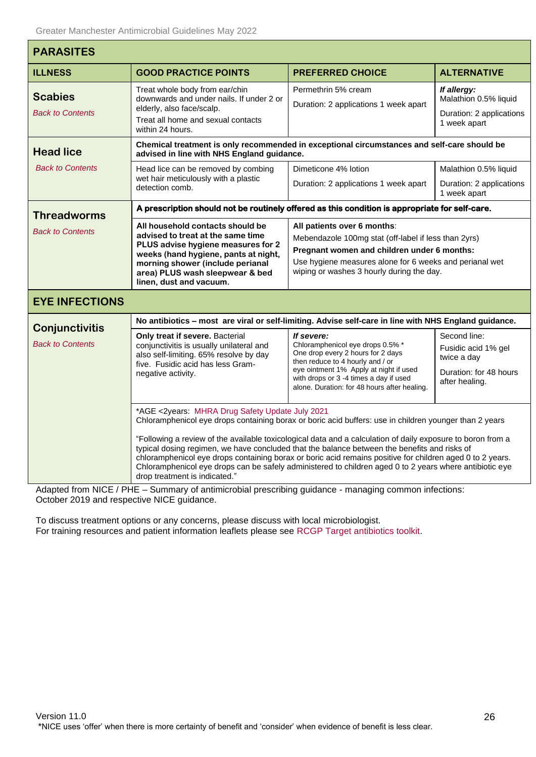Г

<span id="page-25-3"></span><span id="page-25-2"></span><span id="page-25-1"></span><span id="page-25-0"></span>

| <b>PARASITES</b>                          |                                                                                                                                                                                                                                                                                                                                                                                                                                                                                                                                                                                                                                   |                                                                                                                                                                                                                                                             |                                                                                                |  |  |
|-------------------------------------------|-----------------------------------------------------------------------------------------------------------------------------------------------------------------------------------------------------------------------------------------------------------------------------------------------------------------------------------------------------------------------------------------------------------------------------------------------------------------------------------------------------------------------------------------------------------------------------------------------------------------------------------|-------------------------------------------------------------------------------------------------------------------------------------------------------------------------------------------------------------------------------------------------------------|------------------------------------------------------------------------------------------------|--|--|
| <b>ILLNESS</b>                            | <b>GOOD PRACTICE POINTS</b>                                                                                                                                                                                                                                                                                                                                                                                                                                                                                                                                                                                                       | <b>PREFERRED CHOICE</b>                                                                                                                                                                                                                                     | <b>ALTERNATIVE</b>                                                                             |  |  |
| <b>Scabies</b><br><b>Back to Contents</b> | Treat whole body from ear/chin<br>downwards and under nails. If under 2 or<br>elderly, also face/scalp.<br>Treat all home and sexual contacts<br>within 24 hours.                                                                                                                                                                                                                                                                                                                                                                                                                                                                 | Permethrin 5% cream<br>Duration: 2 applications 1 week apart                                                                                                                                                                                                | If allergy:<br>Malathion 0.5% liquid<br>Duration: 2 applications<br>1 week apart               |  |  |
| <b>Head lice</b>                          | Chemical treatment is only recommended in exceptional circumstances and self-care should be<br>advised in line with NHS England guidance.                                                                                                                                                                                                                                                                                                                                                                                                                                                                                         |                                                                                                                                                                                                                                                             |                                                                                                |  |  |
| <b>Back to Contents</b>                   | Head lice can be removed by combing<br>wet hair meticulously with a plastic<br>detection comb.                                                                                                                                                                                                                                                                                                                                                                                                                                                                                                                                    | Dimeticone 4% lotion<br>Duration: 2 applications 1 week apart                                                                                                                                                                                               | Malathion 0.5% liquid<br>Duration: 2 applications<br>1 week apart                              |  |  |
| <b>Threadworms</b>                        | A prescription should not be routinely offered as this condition is appropriate for self-care.                                                                                                                                                                                                                                                                                                                                                                                                                                                                                                                                    |                                                                                                                                                                                                                                                             |                                                                                                |  |  |
| <b>Back to Contents</b>                   | All household contacts should be<br>advised to treat at the same time<br>PLUS advise hygiene measures for 2<br>weeks (hand hygiene, pants at night,<br>morning shower (include perianal<br>area) PLUS wash sleepwear & bed<br>linen, dust and vacuum.                                                                                                                                                                                                                                                                                                                                                                             | All patients over 6 months:<br>Mebendazole 100mg stat (off-label if less than 2yrs)<br>Pregnant women and children under 6 months:<br>Use hygiene measures alone for 6 weeks and perianal wet<br>wiping or washes 3 hourly during the day.                  |                                                                                                |  |  |
| <b>EYE INFECTIONS</b>                     |                                                                                                                                                                                                                                                                                                                                                                                                                                                                                                                                                                                                                                   |                                                                                                                                                                                                                                                             |                                                                                                |  |  |
| <b>Conjunctivitis</b>                     | No antibiotics - most are viral or self-limiting. Advise self-care in line with NHS England guidance.                                                                                                                                                                                                                                                                                                                                                                                                                                                                                                                             |                                                                                                                                                                                                                                                             |                                                                                                |  |  |
| <b>Back to Contents</b>                   | Only treat if severe. Bacterial<br>conjunctivitis is usually unilateral and<br>also self-limiting. 65% resolve by day<br>five. Fusidic acid has less Gram-<br>negative activity.                                                                                                                                                                                                                                                                                                                                                                                                                                                  | If severe:<br>Chloramphenicol eye drops 0.5% *<br>One drop every 2 hours for 2 days<br>then reduce to 4 hourly and / or<br>eye ointment 1% Apply at night if used<br>with drops or 3 -4 times a day if used<br>alone. Duration: for 48 hours after healing. | Second line:<br>Fusidic acid 1% gel<br>twice a day<br>Duration: for 48 hours<br>after healing. |  |  |
|                                           | *AGE <2years: MHRA Drug Safety Update July 2021<br>Chloramphenicol eye drops containing borax or boric acid buffers: use in children younger than 2 years<br>"Following a review of the available toxicological data and a calculation of daily exposure to boron from a<br>typical dosing regimen, we have concluded that the balance between the benefits and risks of<br>chloramphenicol eye drops containing borax or boric acid remains positive for children aged 0 to 2 years.<br>Chloramphenicol eye drops can be safely administered to children aged 0 to 2 years where antibiotic eye<br>drop treatment is indicated." |                                                                                                                                                                                                                                                             |                                                                                                |  |  |

<span id="page-25-5"></span><span id="page-25-4"></span>Adapted from NICE / PHE – Summary of antimicrobial prescribing guidance - managing common infections: October 2019 and respective NICE guidance.

To discuss treatment options or any concerns, please discuss with local microbiologist. For training resources and patient information leaflets please see [RCGP Target antibiotics toolkit.](http://www.rcgp.org.uk/TARGETantibiotics)